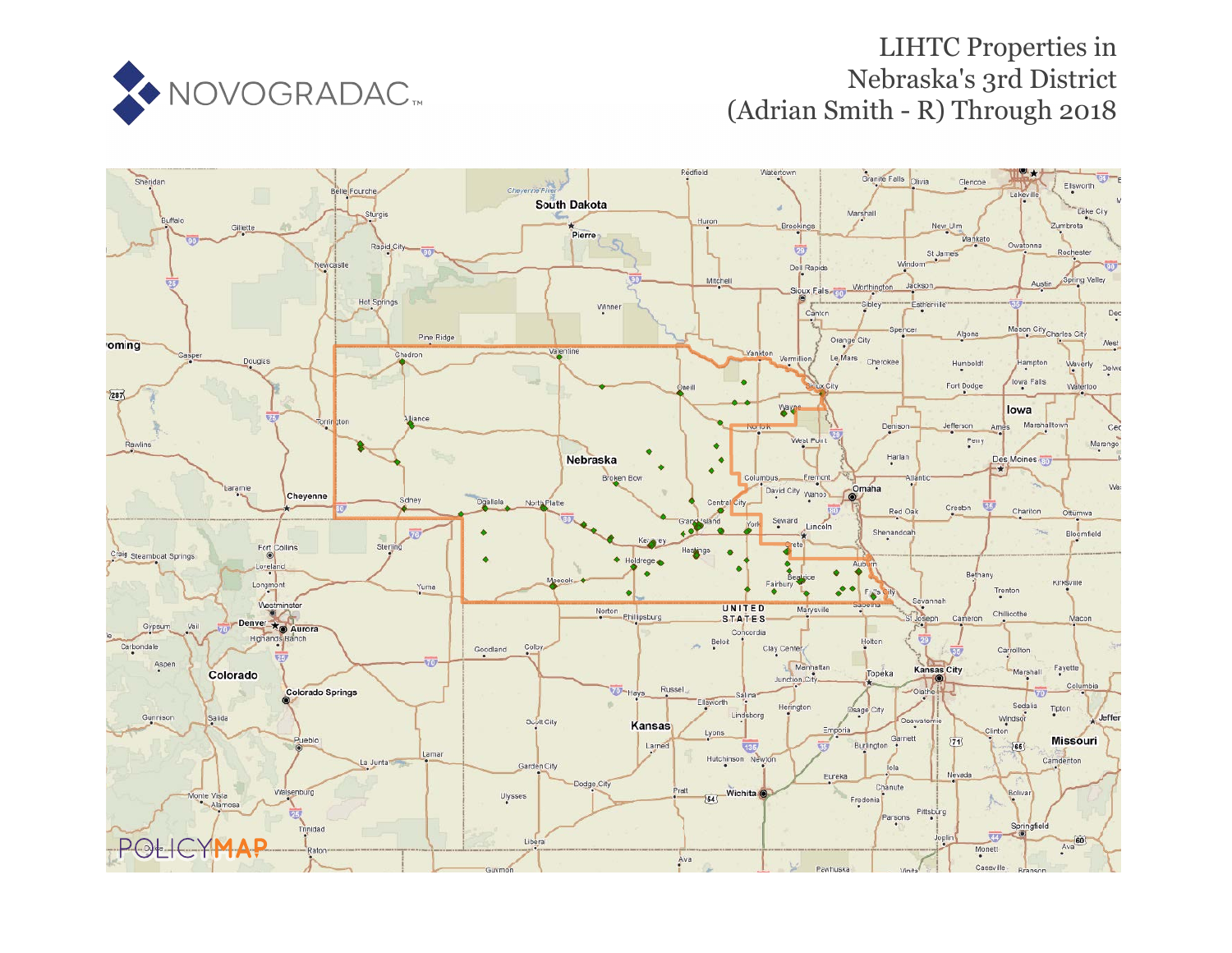

# LIHTC Properties in Nebraska's 3rd District (Adrian Smith - R) Through 2018

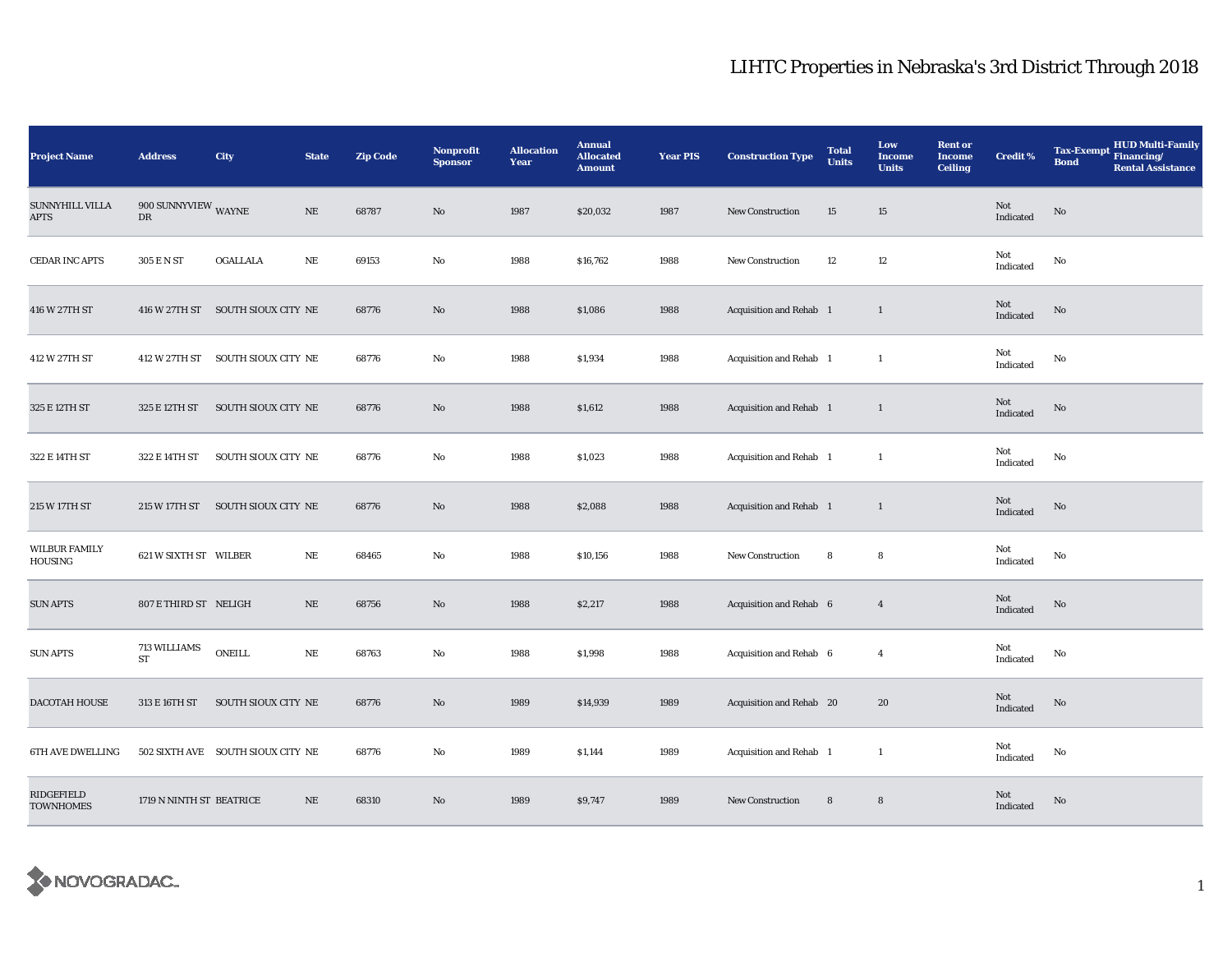| <b>Project Name</b>             | <b>Address</b>                       | City                              | <b>State</b> | <b>Zip Code</b> | <b>Nonprofit</b><br><b>Sponsor</b> | <b>Allocation</b><br>Year | <b>Annual</b><br><b>Allocated</b><br><b>Amount</b> | <b>Year PIS</b> | <b>Construction Type</b> | <b>Total</b><br><b>Units</b> | Low<br><b>Income</b><br><b>Units</b> | <b>Rent or</b><br><b>Income</b><br><b>Ceiling</b> | <b>Credit %</b>  | <b>HUD Multi-Family</b><br><b>Tax-Exempt</b><br>Financing/<br><b>Bond</b><br><b>Rental Assistance</b> |
|---------------------------------|--------------------------------------|-----------------------------------|--------------|-----------------|------------------------------------|---------------------------|----------------------------------------------------|-----------------|--------------------------|------------------------------|--------------------------------------|---------------------------------------------------|------------------|-------------------------------------------------------------------------------------------------------|
| SUNNYHILL VILLA<br>APTS         | $900$ SUNNYVIEW $_{\rm WAYNE}$<br>DR |                                   | NE           | 68787           | No                                 | 1987                      | \$20,032                                           | 1987            | <b>New Construction</b>  | 15                           | 15                                   |                                                   | Not<br>Indicated | No                                                                                                    |
| CEDAR INC APTS                  | 305 E N ST                           | OGALLALA                          | NE           | 69153           | No                                 | 1988                      | \$16,762                                           | 1988            | <b>New Construction</b>  | 12                           | 12                                   |                                                   | Not<br>Indicated | No                                                                                                    |
| 416 W 27TH ST                   |                                      | 416 W 27TH ST SOUTH SIOUX CITY NE |              | 68776           | No                                 | 1988                      | \$1,086                                            | 1988            | Acquisition and Rehab 1  |                              | $\mathbf{1}$                         |                                                   | Not<br>Indicated | No                                                                                                    |
| 412 W 27TH ST                   |                                      | 412 W 27TH ST SOUTH SIOUX CITY NE |              | 68776           | No                                 | 1988                      | \$1,934                                            | 1988            | Acquisition and Rehab 1  |                              | 1                                    |                                                   | Not<br>Indicated | No                                                                                                    |
| 325 E 12TH ST                   | 325 E 12TH ST                        | SOUTH SIOUX CITY NE               |              | 68776           | No                                 | 1988                      | \$1,612                                            | 1988            | Acquisition and Rehab 1  |                              | $\mathbf{1}$                         |                                                   | Not<br>Indicated | No                                                                                                    |
| 322 E 14TH ST                   | 322 E 14TH ST                        | SOUTH SIOUX CITY NE               |              | 68776           | No                                 | 1988                      | \$1,023                                            | 1988            | Acquisition and Rehab 1  |                              | 1                                    |                                                   | Not<br>Indicated | No                                                                                                    |
| 215 W 17TH ST                   |                                      | 215 W 17TH ST SOUTH SIOUX CITY NE |              | 68776           | No                                 | 1988                      | \$2,088                                            | 1988            | Acquisition and Rehab 1  |                              | $\mathbf{1}$                         |                                                   | Not<br>Indicated | No                                                                                                    |
| <b>WILBUR FAMILY</b><br>HOUSING | 621 W SIXTH ST WILBER                |                                   | $\rm NE$     | 68465           | No                                 | 1988                      | \$10,156                                           | 1988            | New Construction         | 8                            | 8                                    |                                                   | Not<br>Indicated | No                                                                                                    |
| <b>SUN APTS</b>                 | 807 E THIRD ST NELIGH                |                                   | $\rm NE$     | 68756           | No                                 | 1988                      | \$2,217                                            | 1988            | Acquisition and Rehab 6  |                              | $\overline{4}$                       |                                                   | Not<br>Indicated | No                                                                                                    |
| <b>SUN APTS</b>                 | 713 WILLIAMS<br><b>ST</b>            | <b>ONEILL</b>                     | $\rm NE$     | 68763           | No                                 | 1988                      | \$1,998                                            | 1988            | Acquisition and Rehab 6  |                              | $\overline{4}$                       |                                                   | Not<br>Indicated | $\mathbf {No}$                                                                                        |
| DACOTAH HOUSE                   | 313 E 16TH ST                        | SOUTH SIOUX CITY NE               |              | 68776           | $\mathbf{N}\mathbf{o}$             | 1989                      | \$14,939                                           | 1989            | Acquisition and Rehab 20 |                              | 20                                   |                                                   | Not<br>Indicated | No                                                                                                    |
| 6TH AVE DWELLING                |                                      | 502 SIXTH AVE SOUTH SIOUX CITY NE |              | 68776           | $\mathbf{No}$                      | 1989                      | \$1,144                                            | 1989            | Acquisition and Rehab 1  |                              | $\mathbf{1}$                         |                                                   | Not<br>Indicated | No                                                                                                    |
| RIDGEFIELD<br><b>TOWNHOMES</b>  | 1719 N NINTH ST BEATRICE             |                                   | $\rm NE$     | 68310           | No                                 | 1989                      | \$9,747                                            | 1989            | <b>New Construction</b>  | $\bf8$                       | 8                                    |                                                   | Not<br>Indicated | No                                                                                                    |

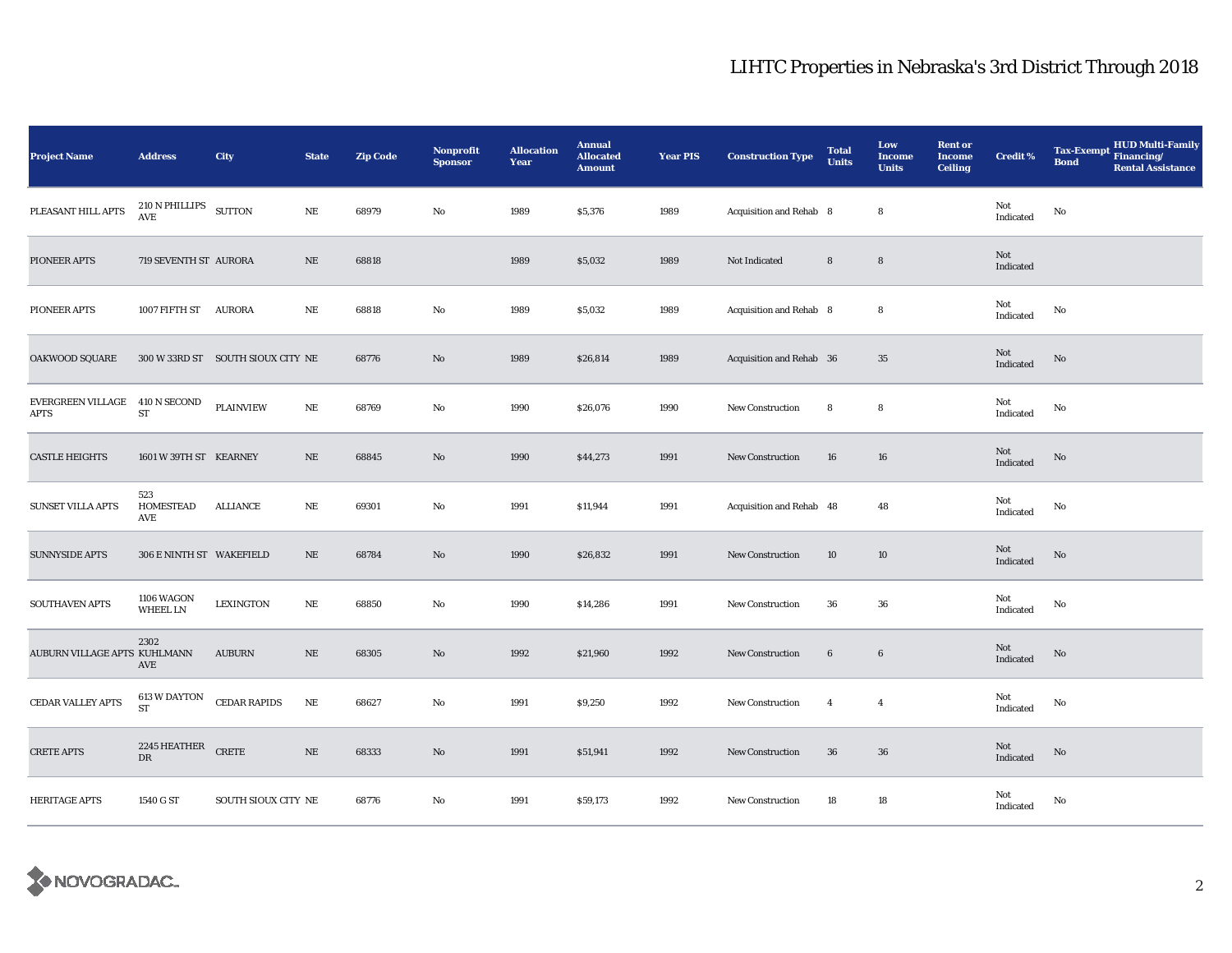| <b>Project Name</b>                    | <b>Address</b>                       | <b>City</b>                       | <b>State</b> | <b>Zip Code</b> | <b>Nonprofit</b><br><b>Sponsor</b> | <b>Allocation</b><br>Year | <b>Annual</b><br><b>Allocated</b><br><b>Amount</b> | <b>Year PIS</b> | <b>Construction Type</b> | <b>Total</b><br><b>Units</b> | Low<br><b>Income</b><br><b>Units</b> | <b>Rent or</b><br><b>Income</b><br><b>Ceiling</b> | <b>Credit %</b>         | <b>HUD Multi-Family</b><br>Tax-Exempt Financing/<br><b>Bond</b><br><b>Rental Assistance</b> |
|----------------------------------------|--------------------------------------|-----------------------------------|--------------|-----------------|------------------------------------|---------------------------|----------------------------------------------------|-----------------|--------------------------|------------------------------|--------------------------------------|---------------------------------------------------|-------------------------|---------------------------------------------------------------------------------------------|
| PLEASANT HILL APTS                     | $210$ N PHILLIPS $$\rm\,SUTTON$$ AVE |                                   | $\rm NE$     | 68979           | No                                 | 1989                      | \$5,376                                            | 1989            | Acquisition and Rehab 8  |                              | 8                                    |                                                   | Not<br>Indicated        | No                                                                                          |
| PIONEER APTS                           | 719 SEVENTH ST AURORA                |                                   | $\rm NE$     | 68818           |                                    | 1989                      | \$5,032                                            | 1989            | Not Indicated            | $\bf8$                       | $\bf8$                               |                                                   | Not<br>Indicated        |                                                                                             |
| PIONEER APTS                           | 1007 FIFTH ST AURORA                 |                                   | NE           | 68818           | No                                 | 1989                      | \$5,032                                            | 1989            | Acquisition and Rehab 8  |                              | 8                                    |                                                   | Not<br>Indicated        | No                                                                                          |
| OAKWOOD SQUARE                         |                                      | 300 W 33RD ST SOUTH SIOUX CITY NE |              | 68776           | No                                 | 1989                      | \$26,814                                           | 1989            | Acquisition and Rehab 36 |                              | $35\,$                               |                                                   | Not<br>Indicated        | $\rm No$                                                                                    |
| EVERGREEN VILLAGE 410 N SECOND<br>APTS | ${\rm ST}$                           | <b>PLAINVIEW</b>                  | $\rm NE$     | 68769           | $\mathbf{No}$                      | 1990                      | \$26,076                                           | 1990            | <b>New Construction</b>  | 8                            | 8                                    |                                                   | Not<br>Indicated        | No                                                                                          |
| <b>CASTLE HEIGHTS</b>                  | 1601 W 39TH ST KEARNEY               |                                   | $\rm NE$     | 68845           | No                                 | 1990                      | \$44,273                                           | 1991            | <b>New Construction</b>  | 16                           | ${\bf 16}$                           |                                                   | Not<br>Indicated        | $\rm No$                                                                                    |
| SUNSET VILLA APTS                      | 523<br><b>HOMESTEAD</b><br>AVE       | <b>ALLIANCE</b>                   | $\rm NE$     | 69301           | No                                 | 1991                      | \$11,944                                           | 1991            | Acquisition and Rehab 48 |                              | 48                                   |                                                   | Not<br>Indicated        | No                                                                                          |
| <b>SUNNYSIDE APTS</b>                  | 306 E NINTH ST WAKEFIELD             |                                   | $\rm NE$     | 68784           | No                                 | 1990                      | \$26,832                                           | 1991            | <b>New Construction</b>  | 10                           | 10                                   |                                                   | <b>Not</b><br>Indicated | $\rm No$                                                                                    |
| SOUTHAVEN APTS                         | 1106 WAGON<br><b>WHEEL LN</b>        | <b>LEXINGTON</b>                  | NE           | 68850           | No                                 | 1990                      | \$14,286                                           | 1991            | New Construction         | 36                           | 36                                   |                                                   | Not<br>Indicated        | No                                                                                          |
| AUBURN VILLAGE APTS KUHLMANN           | 2302<br>AVE                          | <b>AUBURN</b>                     | $\rm NE$     | 68305           | No                                 | 1992                      | \$21,960                                           | 1992            | <b>New Construction</b>  | $\bf 6$                      | $\bf 6$                              |                                                   | Not<br>Indicated        | $\rm No$                                                                                    |
| CEDAR VALLEY APTS                      | 613 W DAYTON<br><b>ST</b>            | <b>CEDAR RAPIDS</b>               | $\rm NE$     | 68627           | No                                 | 1991                      | \$9,250                                            | 1992            | <b>New Construction</b>  | $\overline{4}$               | $\overline{4}$                       |                                                   | Not<br>Indicated        | No                                                                                          |
| <b>CRETE APTS</b>                      | 2245 HEATHER<br>${\rm DR}$           | <b>CRETE</b>                      | $\rm{NE}$    | 68333           | No                                 | 1991                      | \$51,941                                           | 1992            | <b>New Construction</b>  | ${\bf 36}$                   | ${\bf 36}$                           |                                                   | Not<br>Indicated        | No                                                                                          |
| <b>HERITAGE APTS</b>                   | 1540 G ST                            | SOUTH SIOUX CITY NE               |              | 68776           | No                                 | 1991                      | \$59,173                                           | 1992            | <b>New Construction</b>  | 18                           | 18                                   |                                                   | Not<br>Indicated        | No                                                                                          |

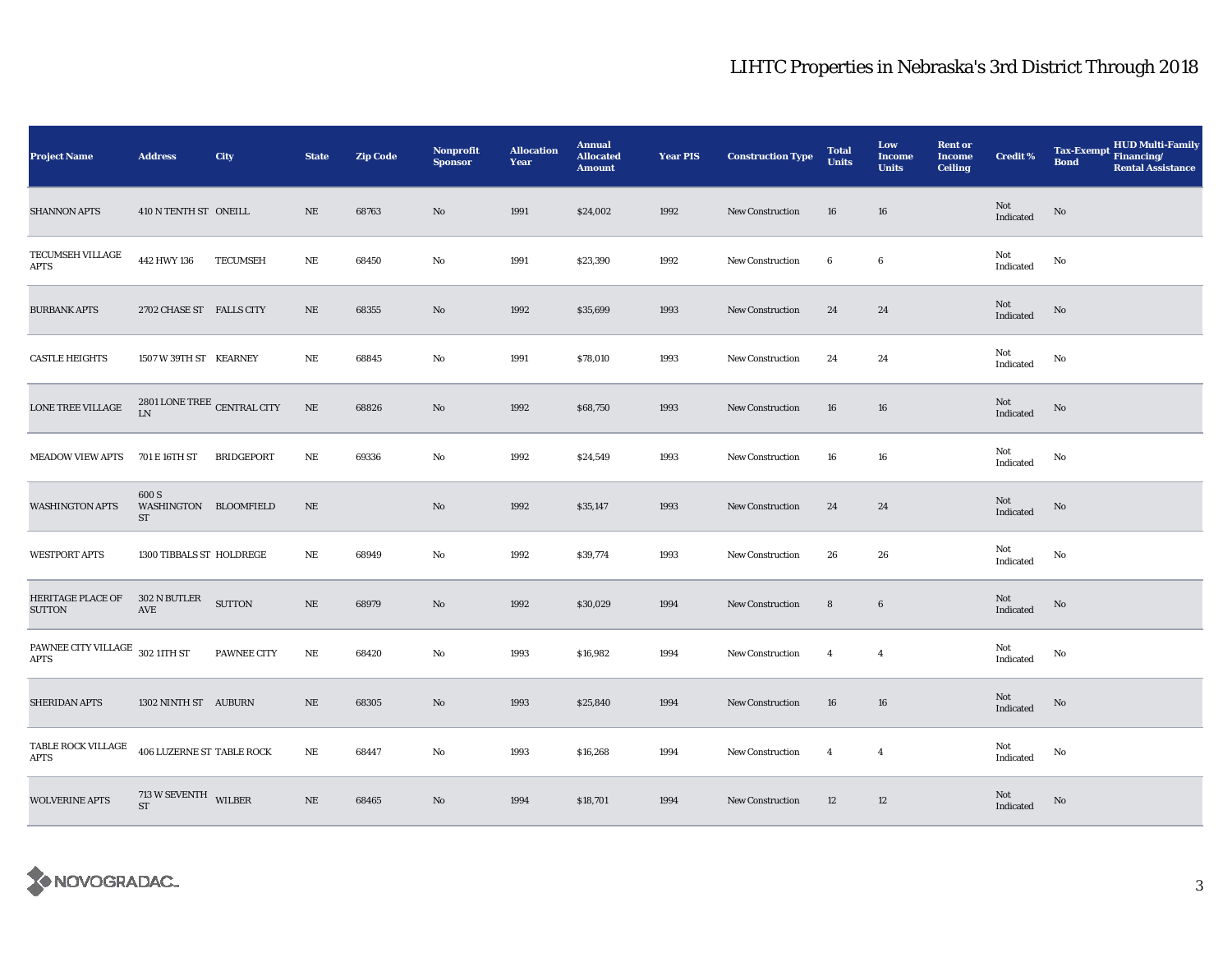| <b>Project Name</b>                            | <b>Address</b>                                   | City              | <b>State</b> | <b>Zip Code</b> | Nonprofit<br><b>Sponsor</b> | <b>Allocation</b><br>Year | <b>Annual</b><br><b>Allocated</b><br><b>Amount</b> | <b>Year PIS</b> | <b>Construction Type</b> | <b>Total</b><br><b>Units</b> | Low<br><b>Income</b><br><b>Units</b> | <b>Rent or</b><br><b>Income</b><br><b>Ceiling</b> | <b>Credit %</b>                                   | <b>HUD Multi-Family</b><br>Tax-Exempt Financing/<br><b>Bond</b><br><b>Rental Assistance</b> |
|------------------------------------------------|--------------------------------------------------|-------------------|--------------|-----------------|-----------------------------|---------------------------|----------------------------------------------------|-----------------|--------------------------|------------------------------|--------------------------------------|---------------------------------------------------|---------------------------------------------------|---------------------------------------------------------------------------------------------|
| <b>SHANNON APTS</b>                            | 410 N TENTH ST ONEILL                            |                   | NE           | 68763           | No                          | 1991                      | \$24,002                                           | 1992            | <b>New Construction</b>  | 16                           | 16                                   |                                                   | Not<br>$\label{thm:indicated} \textbf{Indicated}$ | No                                                                                          |
| TECUMSEH VILLAGE<br>APTS                       | 442 HWY 136                                      | <b>TECUMSEH</b>   | $\rm NE$     | 68450           | No                          | 1991                      | \$23,390                                           | 1992            | <b>New Construction</b>  | 6                            | 6                                    |                                                   | Not<br>Indicated                                  | No                                                                                          |
| <b>BURBANK APTS</b>                            | 2702 CHASE ST FALLS CITY                         |                   | $\rm NE$     | 68355           | No                          | 1992                      | \$35,699                                           | 1993            | New Construction         | 24                           | 24                                   |                                                   | Not<br>Indicated                                  | No                                                                                          |
| <b>CASTLE HEIGHTS</b>                          | 1507 W 39TH ST KEARNEY                           |                   | NE           | 68845           | No                          | 1991                      | \$78,010                                           | 1993            | New Construction         | 24                           | 24                                   |                                                   | Not<br>Indicated                                  | No                                                                                          |
| LONE TREE VILLAGE                              | $2801$ LONE TREE $\,$ CENTRAL CITY<br>${\rm LN}$ |                   | $\rm NE$     | 68826           | No                          | 1992                      | \$68,750                                           | 1993            | <b>New Construction</b>  | 16                           | 16                                   |                                                   | Not<br>$\operatorname{Indicated}$                 | No                                                                                          |
| <b>MEADOW VIEW APTS</b>                        | 701 E 16TH ST                                    | <b>BRIDGEPORT</b> | NE           | 69336           | No                          | 1992                      | \$24,549                                           | 1993            | <b>New Construction</b>  | 16                           | 16                                   |                                                   | Not<br>Indicated                                  | No                                                                                          |
| <b>WASHINGTON APTS</b>                         | 600 S<br>WASHINGTON BLOOMFIELD<br>ST             |                   | NE           |                 | No                          | 1992                      | \$35,147                                           | 1993            | <b>New Construction</b>  | 24                           | 24                                   |                                                   | Not<br>Indicated                                  | $\rm No$                                                                                    |
| <b>WESTPORT APTS</b>                           | 1300 TIBBALS ST HOLDREGE                         |                   | NE           | 68949           | No                          | 1992                      | \$39,774                                           | 1993            | <b>New Construction</b>  | 26                           | 26                                   |                                                   | Not<br>Indicated                                  | No                                                                                          |
| <b>HERITAGE PLACE OF</b><br><b>SUTTON</b>      | 302 N BUTLER<br>$\operatorname{AVE}$             | <b>SUTTON</b>     | $\rm NE$     | 68979           | No                          | 1992                      | \$30,029                                           | 1994            | <b>New Construction</b>  | $\bf 8$                      | $\bf 6$                              |                                                   | Not<br>Indicated                                  | No                                                                                          |
| PAWNEE CITY VILLAGE 302 11TH ST<br><b>APTS</b> |                                                  | PAWNEE CITY       | $\rm NE$     | 68420           | No                          | 1993                      | \$16,982                                           | 1994            | <b>New Construction</b>  | $\overline{4}$               | $\overline{4}$                       |                                                   | Not<br>Indicated                                  | No                                                                                          |
| <b>SHERIDAN APTS</b>                           | 1302 NINTH ST AUBURN                             |                   | $\rm NE$     | 68305           | $\mathbf{No}$               | 1993                      | \$25,840                                           | 1994            | <b>New Construction</b>  | 16                           | 16                                   |                                                   | Not<br>Indicated                                  | No                                                                                          |
| TABLE ROCK VILLAGE<br><b>APTS</b>              | <b>406 LUZERNE ST TABLE ROCK</b>                 |                   | $\rm NE$     | 68447           | No                          | 1993                      | \$16,268                                           | 1994            | <b>New Construction</b>  | $\overline{4}$               | $\overline{4}$                       |                                                   | Not<br>Indicated                                  | No                                                                                          |
| <b>WOLVERINE APTS</b>                          | $713$ W SEVENTH $\_$ WILBER<br><b>ST</b>         |                   | $\rm NE$     | 68465           | No                          | 1994                      | \$18,701                                           | 1994            | <b>New Construction</b>  | 12                           | 12                                   |                                                   | Not<br>Indicated                                  | No                                                                                          |

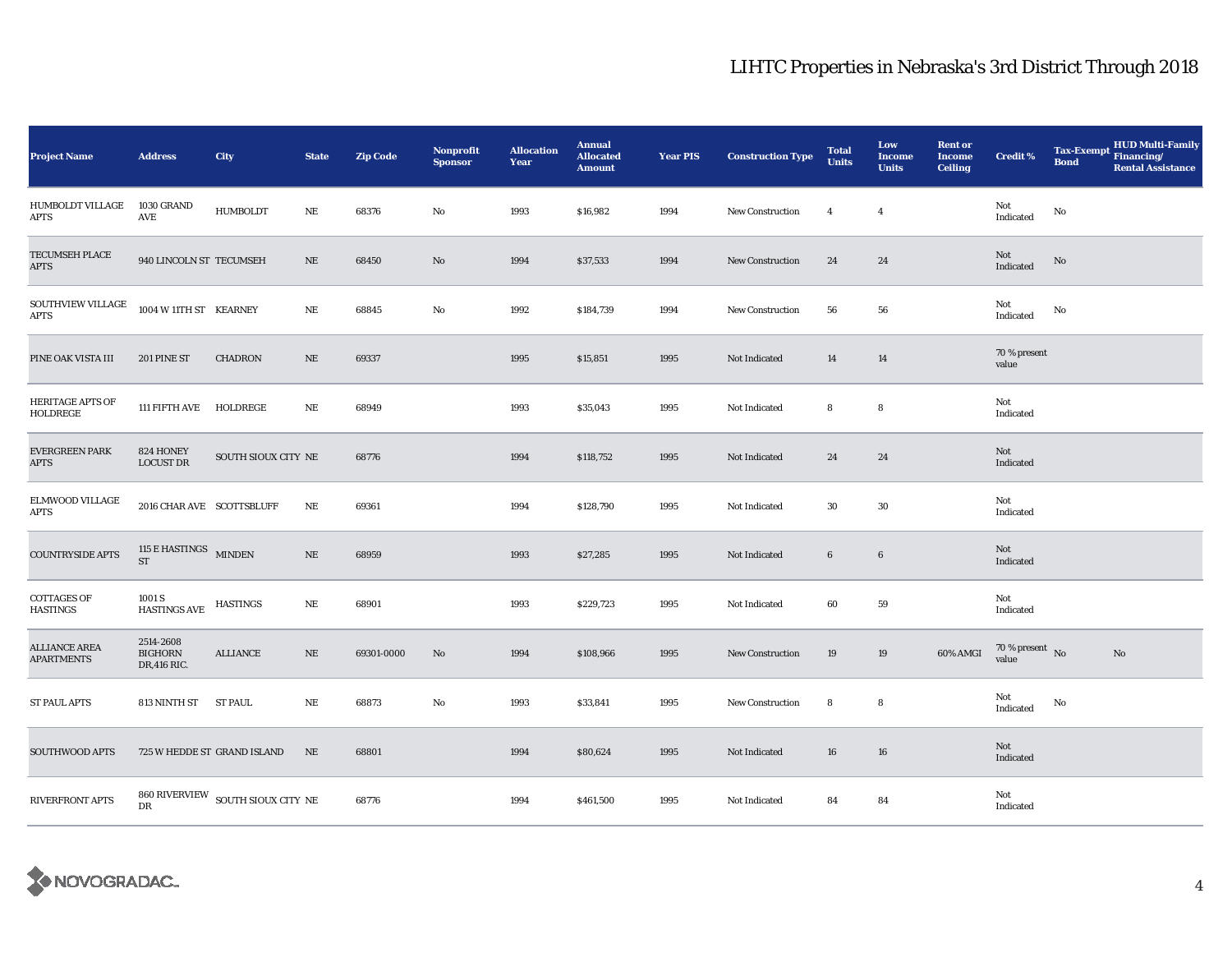| <b>Project Name</b>                       | <b>Address</b>                               | City                                                              | <b>State</b> | <b>Zip Code</b> | <b>Nonprofit</b><br><b>Sponsor</b> | <b>Allocation</b><br>Year | <b>Annual</b><br><b>Allocated</b><br><b>Amount</b> | <b>Year PIS</b> | <b>Construction Type</b> | <b>Total</b><br><b>Units</b> | Low<br><b>Income</b><br><b>Units</b> | <b>Rent or</b><br><b>Income</b><br><b>Ceiling</b> | <b>Credit %</b>                | <b>Bond</b> | <b>HUD Multi-Family</b><br>Tax-Exempt Financing/<br><b>Rental Assistance</b> |
|-------------------------------------------|----------------------------------------------|-------------------------------------------------------------------|--------------|-----------------|------------------------------------|---------------------------|----------------------------------------------------|-----------------|--------------------------|------------------------------|--------------------------------------|---------------------------------------------------|--------------------------------|-------------|------------------------------------------------------------------------------|
| HUMBOLDT VILLAGE<br>APTS                  | 1030 GRAND<br>AVE                            | <b>HUMBOLDT</b>                                                   | $\rm NE$     | 68376           | No                                 | 1993                      | \$16,982                                           | 1994            | <b>New Construction</b>  | $\overline{4}$               | $\overline{4}$                       |                                                   | Not<br>Indicated               | No          |                                                                              |
| TECUMSEH PLACE<br>APTS                    | 940 LINCOLN ST TECUMSEH                      |                                                                   | NE           | 68450           | No                                 | 1994                      | \$37,533                                           | 1994            | <b>New Construction</b>  | 24                           | 24                                   |                                                   | Not<br>Indicated               | No          |                                                                              |
| SOUTHVIEW VILLAGE<br><b>APTS</b>          | 1004 W 11TH ST KEARNEY                       |                                                                   | $\rm NE$     | 68845           | No                                 | 1992                      | \$184,739                                          | 1994            | <b>New Construction</b>  | 56                           | 56                                   |                                                   | Not<br>Indicated               | No          |                                                                              |
| PINE OAK VISTA III                        | 201 PINE ST                                  | <b>CHADRON</b>                                                    | $\rm NE$     | 69337           |                                    | 1995                      | \$15,851                                           | 1995            | Not Indicated            | 14                           | 14                                   |                                                   | 70 % present<br>value          |             |                                                                              |
| <b>HERITAGE APTS OF</b><br>HOLDREGE       | 111 FIFTH AVE                                | HOLDREGE                                                          | $\rm NE$     | 68949           |                                    | 1993                      | \$35,043                                           | 1995            | Not Indicated            | 8                            | ${\bf 8}$                            |                                                   | Not<br>Indicated               |             |                                                                              |
| <b>EVERGREEN PARK</b><br><b>APTS</b>      | 824 HONEY<br><b>LOCUST DR</b>                | SOUTH SIOUX CITY NE                                               |              | 68776           |                                    | 1994                      | \$118,752                                          | 1995            | Not Indicated            | 24                           | 24                                   |                                                   | Not<br>Indicated               |             |                                                                              |
| ELMWOOD VILLAGE<br><b>APTS</b>            | 2016 CHAR AVE SCOTTSBLUFF                    |                                                                   | $_{\rm NE}$  | 69361           |                                    | 1994                      | \$128,790                                          | 1995            | Not Indicated            | 30                           | 30                                   |                                                   | Not<br>Indicated               |             |                                                                              |
| COUNTRYSIDE APTS                          | 115 E HASTINGS MINDEN<br>$\operatorname{ST}$ |                                                                   | $\rm NE$     | 68959           |                                    | 1993                      | \$27,285                                           | 1995            | Not Indicated            | $6\phantom{.0}$              | $\bf 6$                              |                                                   | Not<br>Indicated               |             |                                                                              |
| <b>COTTAGES OF</b><br><b>HASTINGS</b>     | 1001 S<br><b>HASTINGS AVE</b>                | <b>HASTINGS</b>                                                   | $\rm NE$     | 68901           |                                    | 1993                      | \$229,723                                          | 1995            | Not Indicated            | 60                           | ${\bf 59}$                           |                                                   | Not<br>Indicated               |             |                                                                              |
| <b>ALLIANCE AREA</b><br><b>APARTMENTS</b> | 2514-2608<br><b>BIGHORN</b><br>DR, 416 RIC.  | ALLIANCE                                                          | $\rm NE$     | 69301-0000      | No                                 | 1994                      | \$108,966                                          | 1995            | <b>New Construction</b>  | 19                           | 19                                   | 60% AMGI                                          | $70\,\%$ present $\,$ No value |             | $\rm No$                                                                     |
| <b>ST PAUL APTS</b>                       | 813 NINTH ST                                 | <b>ST PAUL</b>                                                    | $\rm{NE}$    | 68873           | No                                 | 1993                      | \$33,841                                           | 1995            | <b>New Construction</b>  | 8                            | 8                                    |                                                   | Not<br>Indicated               | No          |                                                                              |
| SOUTHWOOD APTS                            |                                              | 725 W HEDDE ST GRAND ISLAND                                       | NE           | 68801           |                                    | 1994                      | \$80,624                                           | 1995            | Not Indicated            | 16                           | 16                                   |                                                   | Not<br>Indicated               |             |                                                                              |
| <b>RIVERFRONT APTS</b>                    | DR                                           | $860\ {\rm RIVERVIEW} \hspace{0.2cm}$ SOUTH SIOUX CITY ${\rm NE}$ |              | 68776           |                                    | 1994                      | \$461,500                                          | 1995            | Not Indicated            | 84                           | 84                                   |                                                   | Not<br>Indicated               |             |                                                                              |

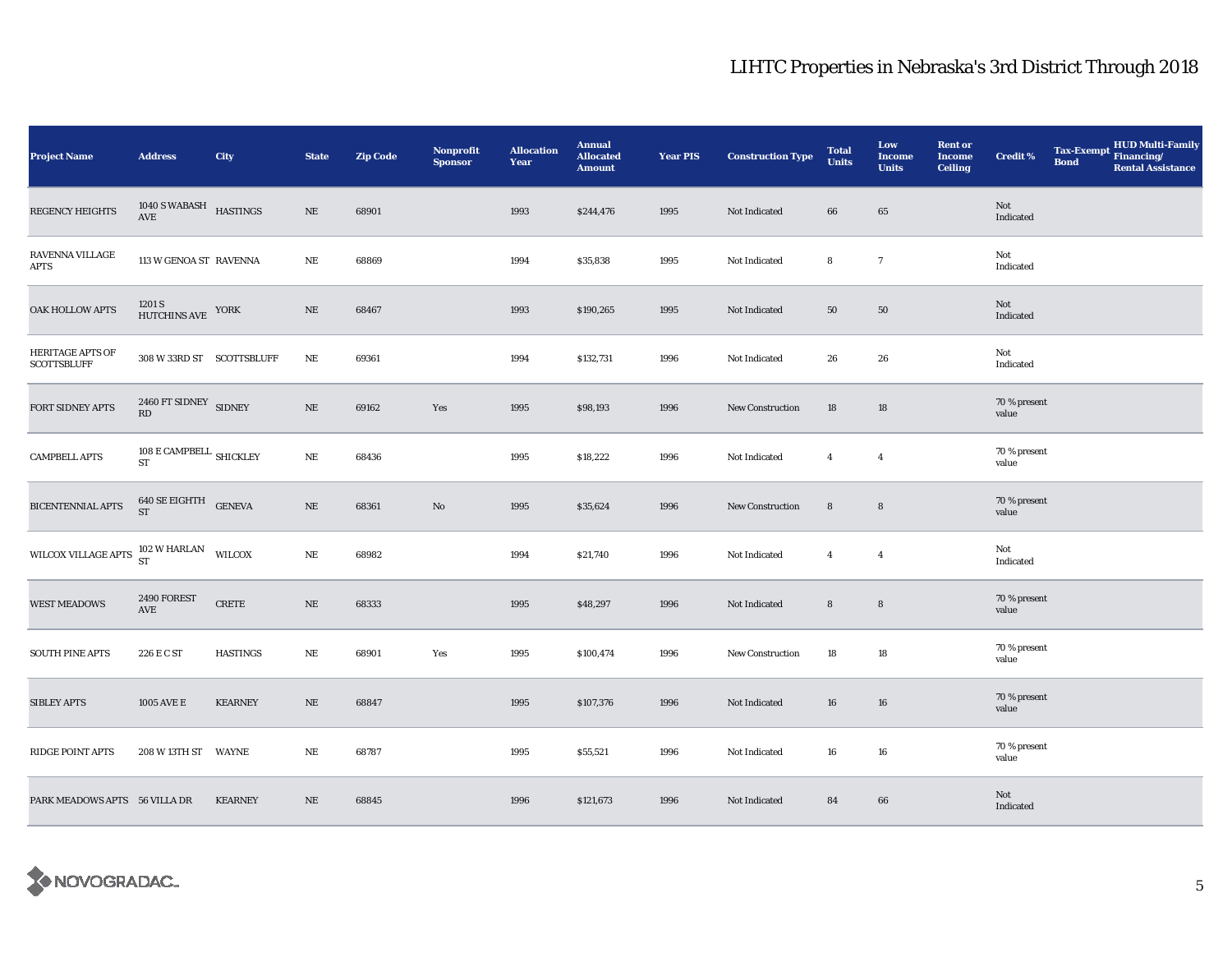| <b>Project Name</b>                           | <b>Address</b>                                    | City            | <b>State</b> | <b>Zip Code</b> | <b>Nonprofit</b><br><b>Sponsor</b> | <b>Allocation</b><br>Year | <b>Annual</b><br><b>Allocated</b><br><b>Amount</b> | <b>Year PIS</b> | <b>Construction Type</b> | <b>Total</b><br><b>Units</b> | Low<br><b>Income</b><br><b>Units</b> | <b>Rent or</b><br>Income<br><b>Ceiling</b> | <b>Credit %</b>       | <b>Bond</b> | Tax-Exempt HUD Multi-Family<br><b>Rental Assistance</b> |
|-----------------------------------------------|---------------------------------------------------|-----------------|--------------|-----------------|------------------------------------|---------------------------|----------------------------------------------------|-----------------|--------------------------|------------------------------|--------------------------------------|--------------------------------------------|-----------------------|-------------|---------------------------------------------------------|
| REGENCY HEIGHTS                               | $1040$ S WABASH $$\tt HASTINGS$$                  |                 | $\rm NE$     | 68901           |                                    | 1993                      | \$244,476                                          | 1995            | Not Indicated            | 66                           | 65                                   |                                            | Not<br>Indicated      |             |                                                         |
| RAVENNA VILLAGE<br>APTS                       | 113 W GENOA ST RAVENNA                            |                 | $\rm{NE}$    | 68869           |                                    | 1994                      | \$35,838                                           | 1995            | Not Indicated            | 8                            | $\overline{7}$                       |                                            | Not<br>Indicated      |             |                                                         |
| OAK HOLLOW APTS                               | $1201~\mathrm{S}$ HUTCHINS AVE $~$ YORK           |                 | $\rm NE$     | 68467           |                                    | 1993                      | \$190,265                                          | 1995            | Not Indicated            | 50                           | 50                                   |                                            | Not<br>Indicated      |             |                                                         |
| <b>HERITAGE APTS OF</b><br><b>SCOTTSBLUFF</b> | 308 W 33RD ST SCOTTSBLUFF                         |                 | NE           | 69361           |                                    | 1994                      | \$132,731                                          | 1996            | Not Indicated            | 26                           | 26                                   |                                            | Not<br>Indicated      |             |                                                         |
| FORT SIDNEY APTS                              | 2460 FT SIDNEY SIDNEY<br>RD                       |                 | $\rm NE$     | 69162           | Yes                                | 1995                      | \$98,193                                           | 1996            | <b>New Construction</b>  | 18                           | 18                                   |                                            | 70 % present<br>value |             |                                                         |
| <b>CAMPBELL APTS</b>                          | $108$ E CAMPBELL $_{\mbox{\scriptsize SHICKLEY}}$ |                 | $\rm NE$     | 68436           |                                    | 1995                      | \$18,222                                           | 1996            | Not Indicated            | $\overline{4}$               | $\overline{4}$                       |                                            | 70 % present<br>value |             |                                                         |
| <b>BICENTENNIAL APTS</b>                      | $640$ SE EIGHTH $$\sf{GENEVA}$$                   |                 | $\rm NE$     | 68361           | No                                 | 1995                      | \$35,624                                           | 1996            | <b>New Construction</b>  | $\bf 8$                      | $\bf 8$                              |                                            | 70 % present<br>value |             |                                                         |
| WILCOX VILLAGE APTS                           | 102 W HARLAN<br>ST                                | WILCOX          | $_{\rm NE}$  | 68982           |                                    | 1994                      | \$21,740                                           | 1996            | Not Indicated            | $\overline{4}$               | $\overline{4}$                       |                                            | Not<br>Indicated      |             |                                                         |
| <b>WEST MEADOWS</b>                           | 2490 FOREST<br>AVE                                | <b>CRETE</b>    | $\rm NE$     | 68333           |                                    | 1995                      | \$48,297                                           | 1996            | Not Indicated            | $\bf 8$                      | $\bf 8$                              |                                            | 70 % present<br>value |             |                                                         |
| <b>SOUTH PINE APTS</b>                        | 226 E C ST                                        | <b>HASTINGS</b> | NE           | 68901           | Yes                                | 1995                      | \$100,474                                          | 1996            | <b>New Construction</b>  | 18                           | 18                                   |                                            | 70 % present<br>value |             |                                                         |
| <b>SIBLEY APTS</b>                            | 1005 AVE E                                        | <b>KEARNEY</b>  | $\rm NE$     | 68847           |                                    | 1995                      | \$107,376                                          | 1996            | Not Indicated            | 16                           | 16                                   |                                            | 70 % present<br>value |             |                                                         |
| RIDGE POINT APTS                              | 208 W 13TH ST WAYNE                               |                 | $\rm NE$     | 68787           |                                    | 1995                      | \$55,521                                           | 1996            | Not Indicated            | 16                           | 16                                   |                                            | 70 % present<br>value |             |                                                         |
| PARK MEADOWS APTS 56 VILLA DR                 |                                                   | <b>KEARNEY</b>  | NE           | 68845           |                                    | 1996                      | \$121,673                                          | 1996            | Not Indicated            | 84                           | 66                                   |                                            | Not<br>Indicated      |             |                                                         |

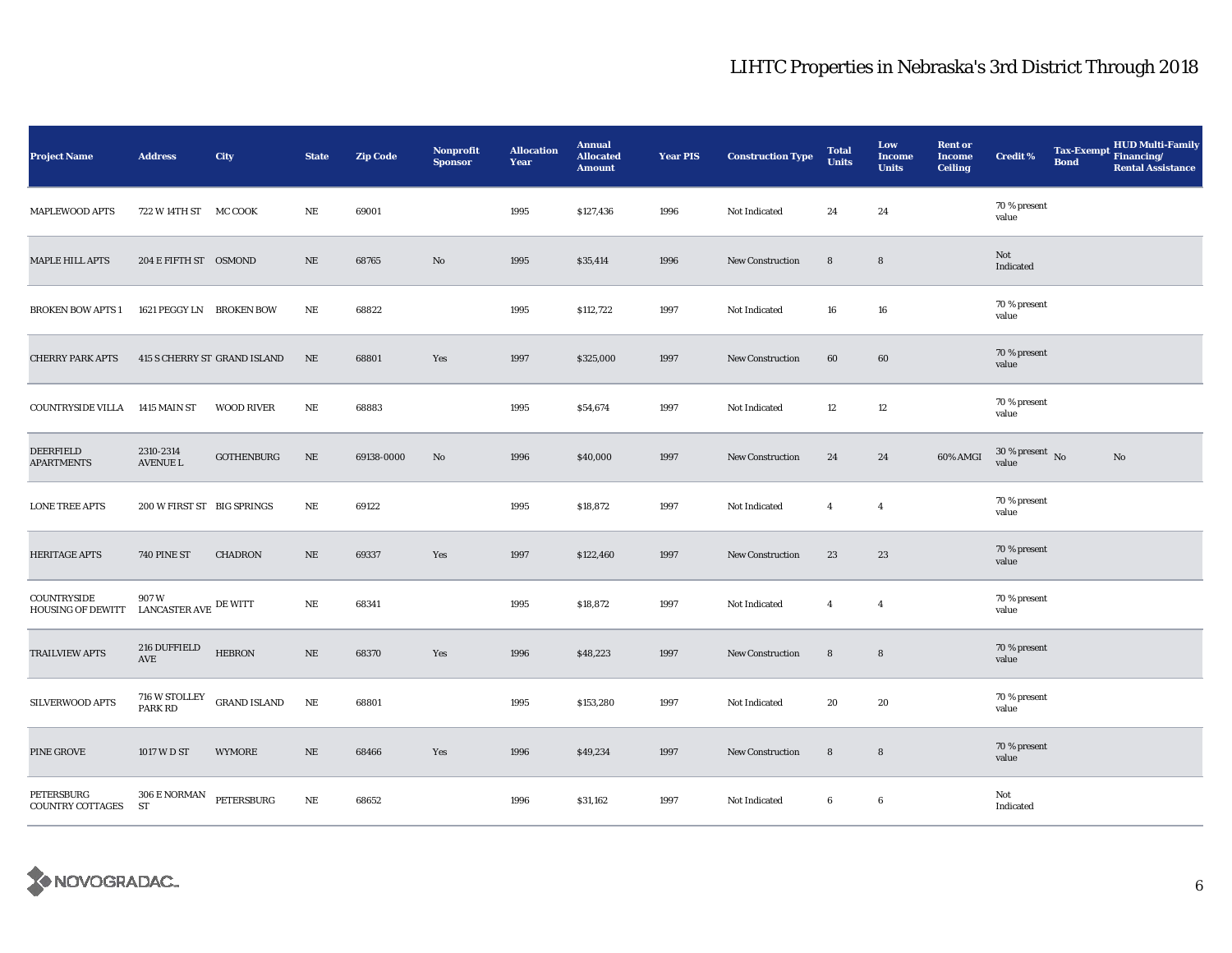| <b>Project Name</b>                            | <b>Address</b>                      | City                         | <b>State</b> | <b>Zip Code</b> | <b>Nonprofit</b><br><b>Sponsor</b> | <b>Allocation</b><br>Year | <b>Annual</b><br><b>Allocated</b><br><b>Amount</b> | <b>Year PIS</b> | <b>Construction Type</b> | <b>Total</b><br><b>Units</b> | Low<br><b>Income</b><br><b>Units</b> | <b>Rent or</b><br><b>Income</b><br><b>Ceiling</b> | <b>Credit %</b>                | <b>Bond</b> | <b>HUD Multi-Family</b><br>Tax-Exempt Financing/<br><b>Rental Assistance</b> |
|------------------------------------------------|-------------------------------------|------------------------------|--------------|-----------------|------------------------------------|---------------------------|----------------------------------------------------|-----------------|--------------------------|------------------------------|--------------------------------------|---------------------------------------------------|--------------------------------|-------------|------------------------------------------------------------------------------|
| <b>MAPLEWOOD APTS</b>                          | 722 W 14TH ST MC COOK               |                              | NE           | 69001           |                                    | 1995                      | \$127,436                                          | 1996            | Not Indicated            | 24                           | 24                                   |                                                   | 70 % present<br>value          |             |                                                                              |
| MAPLE HILL APTS                                | 204 E FIFTH ST OSMOND               |                              | $\rm NE$     | 68765           | No                                 | 1995                      | \$35,414                                           | 1996            | New Construction         | $\bf8$                       | $\bf8$                               |                                                   | Not<br>Indicated               |             |                                                                              |
| <b>BROKEN BOW APTS 1</b>                       | 1621 PEGGY LN BROKEN BOW            |                              | $\rm NE$     | 68822           |                                    | 1995                      | \$112,722                                          | 1997            | Not Indicated            | 16                           | 16                                   |                                                   | 70 % present<br>value          |             |                                                                              |
| <b>CHERRY PARK APTS</b>                        |                                     | 415 S CHERRY ST GRAND ISLAND | NE           | 68801           | Yes                                | 1997                      | \$325,000                                          | 1997            | New Construction         | 60                           | 60                                   |                                                   | 70 % present<br>value          |             |                                                                              |
| <b>COUNTRYSIDE VILLA</b>                       | 1415 MAIN ST                        | <b>WOOD RIVER</b>            | $\rm NE$     | 68883           |                                    | 1995                      | \$54,674                                           | 1997            | Not Indicated            | 12                           | 12                                   |                                                   | 70 % present<br>value          |             |                                                                              |
| DEERFIELD<br><b>APARTMENTS</b>                 | 2310-2314<br><b>AVENUE L</b>        | <b>GOTHENBURG</b>            | $\rm NE$     | 69138-0000      | No                                 | 1996                      | \$40,000                                           | 1997            | <b>New Construction</b>  | 24                           | 24                                   | 60% AMGI                                          | $30\,\%$ present $\,$ No value |             | $\mathbf{No}$                                                                |
| <b>LONE TREE APTS</b>                          | 200 W FIRST ST BIG SPRINGS          |                              | $\rm NE$     | 69122           |                                    | 1995                      | \$18,872                                           | 1997            | Not Indicated            | $\overline{4}$               | $\overline{4}$                       |                                                   | 70 % present<br>value          |             |                                                                              |
| <b>HERITAGE APTS</b>                           | 740 PINE ST                         | <b>CHADRON</b>               | $\rm NE$     | 69337           | Yes                                | 1997                      | \$122,460                                          | 1997            | <b>New Construction</b>  | 23                           | 23                                   |                                                   | 70 % present<br>value          |             |                                                                              |
| <b>COUNTRYSIDE</b><br><b>HOUSING OF DEWITT</b> | 907 W<br>LANCASTER AVE $\,$ DE WITT |                              | NE           | 68341           |                                    | 1995                      | \$18,872                                           | 1997            | Not Indicated            | $\overline{4}$               | $\overline{4}$                       |                                                   | 70 % present<br>value          |             |                                                                              |
| <b>TRAILVIEW APTS</b>                          | 216 DUFFIELD<br>AVE                 | <b>HEBRON</b>                | $\rm NE$     | 68370           | Yes                                | 1996                      | \$48,223                                           | 1997            | New Construction         | $8\phantom{1}$               | $\bf8$                               |                                                   | 70 % present<br>value          |             |                                                                              |
| SILVERWOOD APTS                                | 716 W STOLLEY<br>PARK RD            | <b>GRAND ISLAND</b>          | $\rm NE$     | 68801           |                                    | 1995                      | \$153,280                                          | 1997            | Not Indicated            | 20                           | 20                                   |                                                   | 70 % present<br>value          |             |                                                                              |
| PINE GROVE                                     | 1017 W D ST                         | <b>WYMORE</b>                | $\rm NE$     | 68466           | Yes                                | 1996                      | \$49,234                                           | 1997            | <b>New Construction</b>  | 8                            | $\bf8$                               |                                                   | 70 % present<br>value          |             |                                                                              |
| <b>PETERSBURG</b><br><b>COUNTRY COTTAGES</b>   | 306 E NORMAN<br>ST                  | PETERSBURG                   | $\rm NE$     | 68652           |                                    | 1996                      | \$31,162                                           | 1997            | Not Indicated            | 6                            | $\boldsymbol{6}$                     |                                                   | Not<br>Indicated               |             |                                                                              |

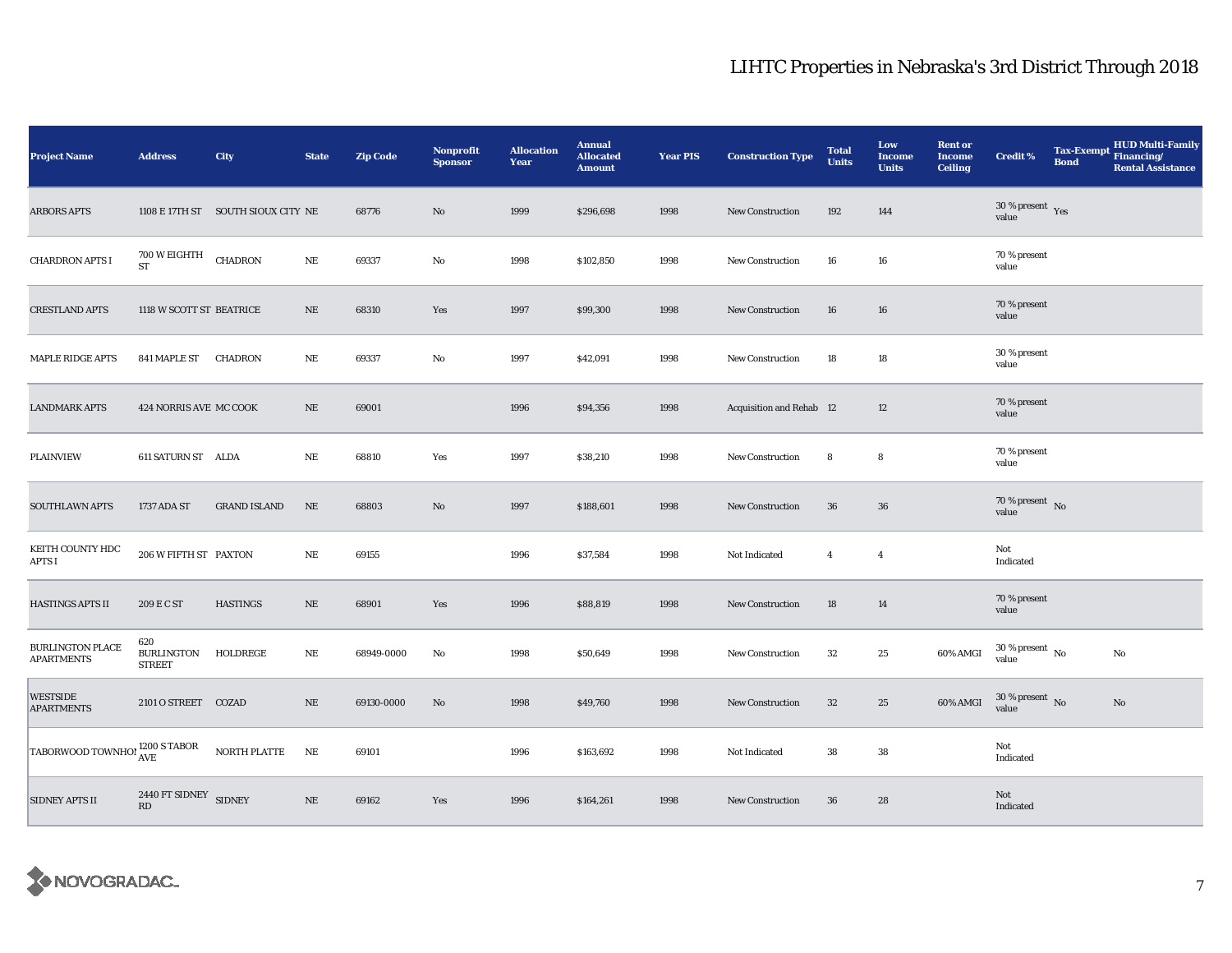| <b>Project Name</b>                   | <b>Address</b>                            | City                               | <b>State</b> | <b>Zip Code</b> | <b>Nonprofit</b><br><b>Sponsor</b> | <b>Allocation</b><br>Year | <b>Annual</b><br><b>Allocated</b><br><b>Amount</b> | <b>Year PIS</b> | <b>Construction Type</b> | <b>Total</b><br><b>Units</b> | Low<br>Income<br><b>Units</b> | <b>Rent or</b><br><b>Income</b><br><b>Ceiling</b> | <b>Credit %</b>                        | <b>Bond</b> | HUD Multi-Family<br>Tax-Exempt Financing/<br><b>Rental Assistance</b> |
|---------------------------------------|-------------------------------------------|------------------------------------|--------------|-----------------|------------------------------------|---------------------------|----------------------------------------------------|-----------------|--------------------------|------------------------------|-------------------------------|---------------------------------------------------|----------------------------------------|-------------|-----------------------------------------------------------------------|
| <b>ARBORS APTS</b>                    |                                           | 1108 E 17TH ST SOUTH SIOUX CITY NE |              | 68776           | No                                 | 1999                      | \$296,698                                          | 1998            | <b>New Construction</b>  | 192                          | 144                           |                                                   | $30$ % present $\,$ $\rm Yes$<br>value |             |                                                                       |
| <b>CHARDRON APTS I</b>                | 700 W EIGHTH<br>ST                        | <b>CHADRON</b>                     | $\rm NE$     | 69337           | No                                 | 1998                      | \$102,850                                          | 1998            | <b>New Construction</b>  | 16                           | 16                            |                                                   | 70 % present<br>value                  |             |                                                                       |
| <b>CRESTLAND APTS</b>                 | 1118 W SCOTT ST BEATRICE                  |                                    | NE           | 68310           | Yes                                | 1997                      | \$99,300                                           | 1998            | New Construction         | 16                           | 16                            |                                                   | 70 % present<br>value                  |             |                                                                       |
| <b>MAPLE RIDGE APTS</b>               | 841 MAPLE ST                              | CHADRON                            | NE           | 69337           | No                                 | 1997                      | \$42,091                                           | 1998            | <b>New Construction</b>  | 18                           | 18                            |                                                   | 30 % present<br>value                  |             |                                                                       |
| <b>LANDMARK APTS</b>                  | 424 NORRIS AVE MC COOK                    |                                    | $\rm NE$     | 69001           |                                    | 1996                      | \$94,356                                           | 1998            | Acquisition and Rehab 12 |                              | 12                            |                                                   | 70 % present<br>value                  |             |                                                                       |
| <b>PLAINVIEW</b>                      | 611 SATURN ST ALDA                        |                                    | NE           | 68810           | Yes                                | 1997                      | \$38,210                                           | 1998            | <b>New Construction</b>  | 8                            | 8                             |                                                   | 70 % present<br>value                  |             |                                                                       |
| <b>SOUTHLAWN APTS</b>                 | 1737 ADA ST                               | <b>GRAND ISLAND</b>                | NE           | 68803           | No                                 | 1997                      | \$188,601                                          | 1998            | New Construction         | 36                           | $36\,$                        |                                                   | $70\,\%$ present $\,$ No value         |             |                                                                       |
| KEITH COUNTY HDC<br>APTS I            | 206 W FIFTH ST PAXTON                     |                                    | $\rm NE$     | 69155           |                                    | 1996                      | \$37,584                                           | 1998            | Not Indicated            | $\overline{4}$               | $\overline{4}$                |                                                   | Not<br>Indicated                       |             |                                                                       |
| HASTINGS APTS II                      | 209 E C ST                                | <b>HASTINGS</b>                    | $\rm NE$     | 68901           | Yes                                | 1996                      | \$88,819                                           | 1998            | New Construction         | 18                           | 14                            |                                                   | 70 % present<br>value                  |             |                                                                       |
| BURLINGTON PLACE<br><b>APARTMENTS</b> | 620<br><b>BURLINGTON</b><br><b>STREET</b> | HOLDREGE                           | NE           | 68949-0000      | No                                 | 1998                      | \$50,649                                           | 1998            | New Construction         | 32                           | 25                            | 60% AMGI                                          | $30$ % present $\,$ No $\,$<br>value   |             | No                                                                    |
| WESTSIDE<br><b>APARTMENTS</b>         | 2101 O STREET COZAD                       |                                    | NE           | 69130-0000      | No                                 | 1998                      | \$49,760                                           | 1998            | New Construction         | $32\,$                       | 25                            | 60% AMGI                                          | $30$ % present $\,$ No $\,$<br>value   |             | No                                                                    |
| TABORWOOD TOWNHO! 1200 S TABOR        |                                           | NORTH PLATTE                       | $\rm NE$     | 69101           |                                    | 1996                      | \$163,692                                          | 1998            | Not Indicated            | 38                           | 38                            |                                                   | Not<br>Indicated                       |             |                                                                       |
| <b>SIDNEY APTS II</b>                 | 2440 FT SIDNEY SIDNEY<br>RD               |                                    | $\rm NE$     | 69162           | Yes                                | 1996                      | \$164,261                                          | 1998            | <b>New Construction</b>  | 36                           | 28                            |                                                   | Not<br>Indicated                       |             |                                                                       |

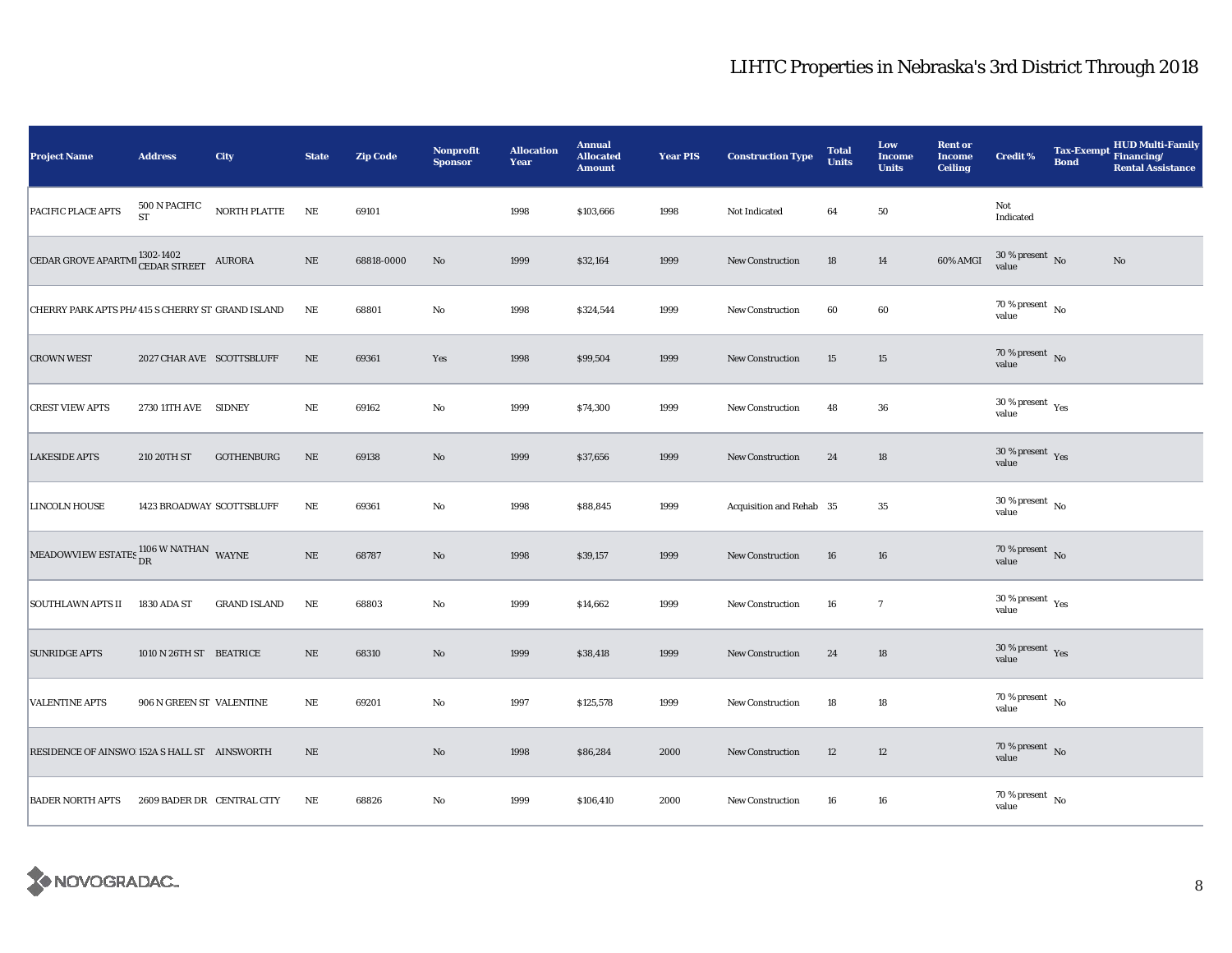| <b>Project Name</b>                                  | <b>Address</b>             | <b>City</b>         | <b>State</b> | <b>Zip Code</b> | <b>Nonprofit</b><br><b>Sponsor</b> | <b>Allocation</b><br>Year | <b>Annual</b><br><b>Allocated</b><br><b>Amount</b> | <b>Year PIS</b> | <b>Construction Type</b> | <b>Total</b><br><b>Units</b> | Low<br><b>Income</b><br><b>Units</b> | <b>Rent or</b><br><b>Income</b><br><b>Ceiling</b> | <b>Credit %</b>                          | <b>Bond</b> | <b>HUD Multi-Family</b><br>Tax-Exempt Financing/<br><b>Rental Assistance</b> |
|------------------------------------------------------|----------------------------|---------------------|--------------|-----------------|------------------------------------|---------------------------|----------------------------------------------------|-----------------|--------------------------|------------------------------|--------------------------------------|---------------------------------------------------|------------------------------------------|-------------|------------------------------------------------------------------------------|
| PACIFIC PLACE APTS                                   | 500 N PACIFIC<br><b>ST</b> | NORTH PLATTE        | NE           | 69101           |                                    | 1998                      | \$103,666                                          | 1998            | Not Indicated            | 64                           | 50                                   |                                                   | Not<br>Indicated                         |             |                                                                              |
| CEDAR GROVE APARTMI <sup>1302-1402</sup>             |                            | AURORA              | $\rm NE$     | 68818-0000      | No                                 | 1999                      | \$32,164                                           | 1999            | <b>New Construction</b>  | 18                           | 14                                   | 60% AMGI                                          | $30\,\%$ present $\,$ No $\,$<br>value   |             | No                                                                           |
| CHERRY PARK APTS PHA 415 S CHERRY ST GRAND ISLAND    |                            |                     | NE           | 68801           | No                                 | 1998                      | \$324,544                                          | 1999            | New Construction         | 60                           | 60                                   |                                                   | 70 % present $\overline{N_0}$<br>value   |             |                                                                              |
| <b>CROWN WEST</b>                                    | 2027 CHAR AVE SCOTTSBLUFF  |                     | NE           | 69361           | Yes                                | 1998                      | \$99,504                                           | 1999            | New Construction         | 15                           | 15                                   |                                                   | $70\,\%$ present $\,$ No value           |             |                                                                              |
| <b>CREST VIEW APTS</b>                               | 2730 11TH AVE SIDNEY       |                     | $\rm NE$     | 69162           | No                                 | 1999                      | \$74,300                                           | 1999            | New Construction         | 48                           | 36                                   |                                                   | $30\,\%$ present $\,$ Yes value          |             |                                                                              |
| <b>LAKESIDE APTS</b>                                 | 210 20TH ST                | <b>GOTHENBURG</b>   | $\rm NE$     | 69138           | No                                 | 1999                      | \$37,656                                           | 1999            | New Construction         | 24                           | 18                                   |                                                   | 30 % present $\gamma_{\rm{es}}$<br>value |             |                                                                              |
| <b>LINCOLN HOUSE</b>                                 | 1423 BROADWAY SCOTTSBLUFF  |                     | $\rm NE$     | 69361           | No                                 | 1998                      | \$88,845                                           | 1999            | Acquisition and Rehab 35 |                              | 35                                   |                                                   | $30$ % present $\,$ No $\,$<br>value     |             |                                                                              |
| MEADOWVIEW ESTATES $^{1106}_{\rm DR}$ W NATHAN WAYNE |                            |                     | $\rm NE$     | 68787           | $\mathbf{N}\mathbf{o}$             | 1998                      | \$39,157                                           | 1999            | New Construction         | 16                           | 16                                   |                                                   | $70\,\%$ present $\,$ No value           |             |                                                                              |
| <b>SOUTHLAWN APTS II</b>                             | 1830 ADA ST                | <b>GRAND ISLAND</b> | $\rm NE$     | 68803           | No                                 | 1999                      | \$14,662                                           | 1999            | New Construction         | 16                           | $\tau$                               |                                                   | 30 % present $\rm\,Yes$<br>value         |             |                                                                              |
| <b>SUNRIDGE APTS</b>                                 | 1010 N 26TH ST BEATRICE    |                     | NE           | 68310           | $\mathbf{N}\mathbf{o}$             | 1999                      | \$38,418                                           | 1999            | <b>New Construction</b>  | 24                           | 18                                   |                                                   | $30\,\%$ present $\,$ Yes value          |             |                                                                              |
| <b>VALENTINE APTS</b>                                | 906 N GREEN ST VALENTINE   |                     | NE           | 69201           | No                                 | 1997                      | \$125,578                                          | 1999            | <b>New Construction</b>  | 18                           | $18\,$                               |                                                   | $70\,\%$ present $\,$ No value           |             |                                                                              |
| RESIDENCE OF AINSWO 152A S HALL ST AINSWORTH         |                            |                     | $\rm NE$     |                 | No                                 | 1998                      | \$86,284                                           | 2000            | <b>New Construction</b>  | 12                           | 12                                   |                                                   | $70\,\%$ present $\,$ No value           |             |                                                                              |
| <b>BADER NORTH APTS</b>                              | 2609 BADER DR CENTRAL CITY |                     | NE           | 68826           | No                                 | 1999                      | \$106,410                                          | 2000            | New Construction         | 16                           | 16                                   |                                                   | $70$ % present $_{\, \rm No}$<br>value   |             |                                                                              |

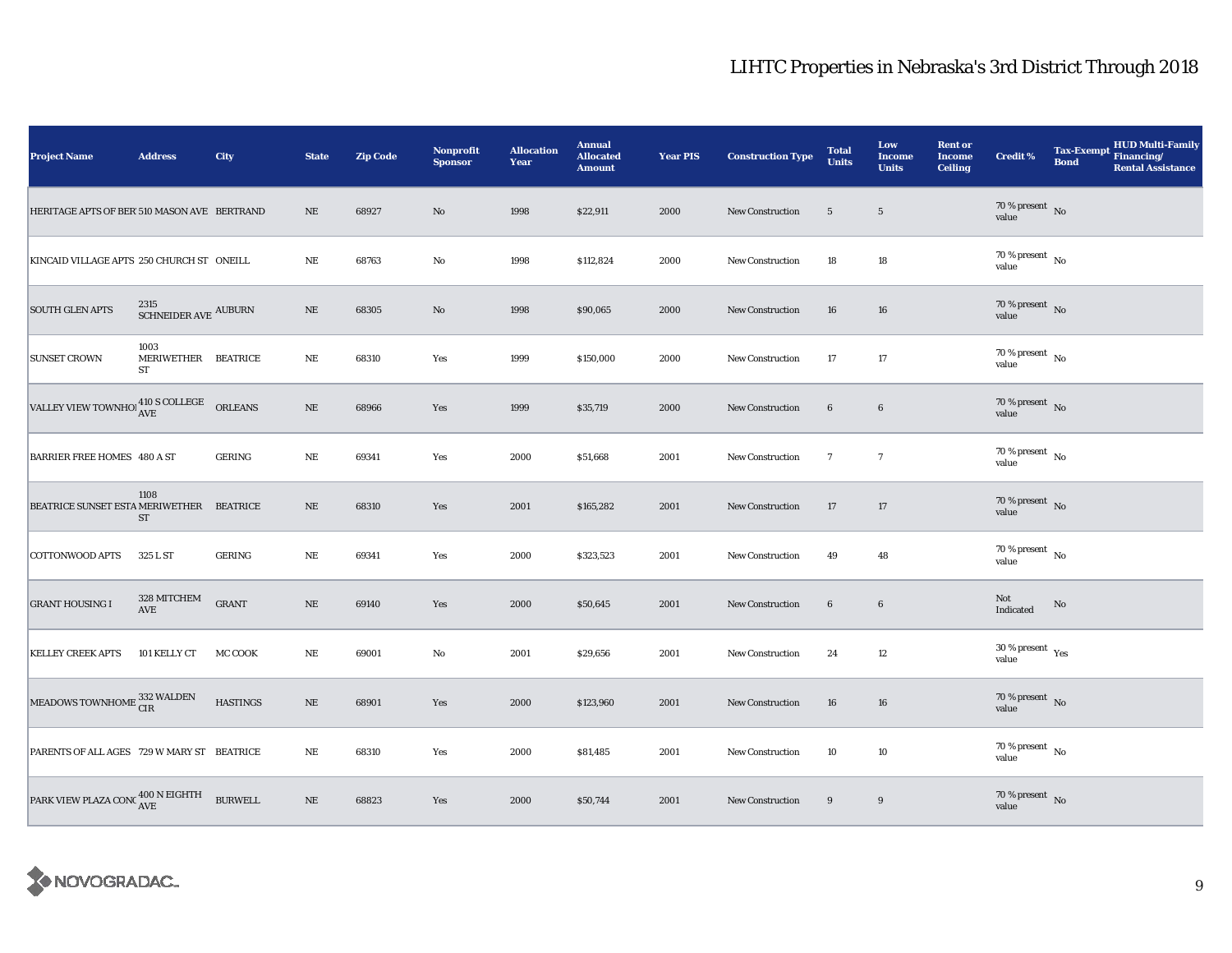| Project Name                                                   | <b>Address</b>                                | City            | <b>State</b> | <b>Zip Code</b> | <b>Nonprofit</b><br><b>Sponsor</b> | <b>Allocation</b><br>Year | <b>Annual</b><br><b>Allocated</b><br><b>Amount</b> | <b>Year PIS</b> | <b>Construction Type</b> | <b>Total</b><br><b>Units</b> | Low<br><b>Income</b><br><b>Units</b> | <b>Rent or</b><br><b>Income</b><br><b>Ceiling</b> | <b>Credit %</b>                          | <b>Tax-Exempt</b><br><b>Bond</b> | HUD Multi-Family<br>Financing/<br><b>Rental Assistance</b> |
|----------------------------------------------------------------|-----------------------------------------------|-----------------|--------------|-----------------|------------------------------------|---------------------------|----------------------------------------------------|-----------------|--------------------------|------------------------------|--------------------------------------|---------------------------------------------------|------------------------------------------|----------------------------------|------------------------------------------------------------|
| HERITAGE APTS OF BER 510 MASON AVE BERTRAND                    |                                               |                 | NE           | 68927           | No                                 | 1998                      | \$22,911                                           | 2000            | <b>New Construction</b>  | $5\overline{)}$              | $5\overline{)}$                      |                                                   | $70\,\%$ present $\,$ No value           |                                  |                                                            |
| KINCAID VILLAGE APTS 250 CHURCH ST ONEILL                      |                                               |                 | $\rm NE$     | 68763           | $\rm No$                           | 1998                      | \$112,824                                          | 2000            | <b>New Construction</b>  | 18                           | 18                                   |                                                   | $70\,\%$ present $\,$ No value           |                                  |                                                            |
| <b>SOUTH GLEN APTS</b>                                         | $\,$ 2315 $\,$ SCHNEIDER AVE $\,$ AUBURN $\,$ |                 | $\rm NE$     | 68305           | $\rm No$                           | 1998                      | \$90,065                                           | 2000            | <b>New Construction</b>  | 16                           | 16                                   |                                                   | $70\,\%$ present $\,$ No value           |                                  |                                                            |
| <b>SUNSET CROWN</b>                                            | 1003<br>MERIWETHER BEATRICE<br>ST             |                 | $_{\rm NE}$  | 68310           | Yes                                | 1999                      | \$150,000                                          | 2000            | New Construction         | 17                           | 17                                   |                                                   | $70\,\%$ present $\,$ No value           |                                  |                                                            |
| VALLEY VIEW TOWNHO! $^{410\, \rm S}$ COLLEGE $\quad$ ORLEANS   |                                               |                 | $\rm NE$     | 68966           | Yes                                | 1999                      | \$35,719                                           | 2000            | <b>New Construction</b>  | $\bf{6}$                     | $6\phantom{.0}$                      |                                                   | $70\,\%$ present $\,$ No value           |                                  |                                                            |
| <b>BARRIER FREE HOMES 480 A ST</b>                             |                                               | <b>GERING</b>   | NE           | 69341           | Yes                                | 2000                      | \$51,668                                           | 2001            | New Construction         | $\mathbf{7}$                 | $\tau$                               |                                                   | $70$ % present $\,$ No $\,$<br>value     |                                  |                                                            |
| BEATRICE SUNSET ESTA MERIWETHER BEATRICE                       | 1108<br><b>ST</b>                             |                 | $\rm NE$     | 68310           | Yes                                | 2001                      | \$165,282                                          | 2001            | New Construction         | 17                           | 17                                   |                                                   | $70\,\%$ present $\,$ No value           |                                  |                                                            |
| <b>COTTONWOOD APTS</b>                                         | 325 L ST                                      | <b>GERING</b>   | NE           | 69341           | Yes                                | 2000                      | \$323,523                                          | 2001            | <b>New Construction</b>  | 49                           | 48                                   |                                                   | $70\,\%$ present $\,$ No value           |                                  |                                                            |
| <b>GRANT HOUSING I</b>                                         | 328 MITCHEM<br>AVE                            | <b>GRANT</b>    | $\rm NE$     | 69140           | Yes                                | 2000                      | \$50,645                                           | 2001            | <b>New Construction</b>  | $\bf{6}$                     | $\bf 6$                              |                                                   | Not<br>Indicated                         | No                               |                                                            |
| <b>KELLEY CREEK APTS</b>                                       | 101 KELLY CT                                  | MC COOK         | $\rm NE$     | 69001           | $_{\rm No}$                        | 2001                      | \$29,656                                           | 2001            | New Construction         | 24                           | 12                                   |                                                   | $30\,\%$ present $\,$ $\rm Yes$<br>value |                                  |                                                            |
| MEADOWS TOWNHOME $^{332}_{\rm CIR}$                            |                                               | <b>HASTINGS</b> | $\rm NE$     | 68901           | Yes                                | 2000                      | \$123,960                                          | 2001            | New Construction         | 16                           | 16                                   |                                                   | $70\,\%$ present $\,$ No value           |                                  |                                                            |
| PARENTS OF ALL AGES 729 W MARY ST BEATRICE                     |                                               |                 | $\rm NE$     | 68310           | Yes                                | 2000                      | \$81,485                                           | 2001            | <b>New Construction</b>  | 10                           | 10                                   |                                                   | 70 % present $\hbox{~No}$<br>value       |                                  |                                                            |
| PARK VIEW PLAZA CONC $^{400\,N\,\rm EIGHTH}_{\rm AVE}$ BURWELL |                                               |                 | $\rm NE$     | 68823           | Yes                                | 2000                      | \$50,744                                           | 2001            | New Construction         | 9                            | 9                                    |                                                   | $70\,\%$ present $\,$ No value           |                                  |                                                            |

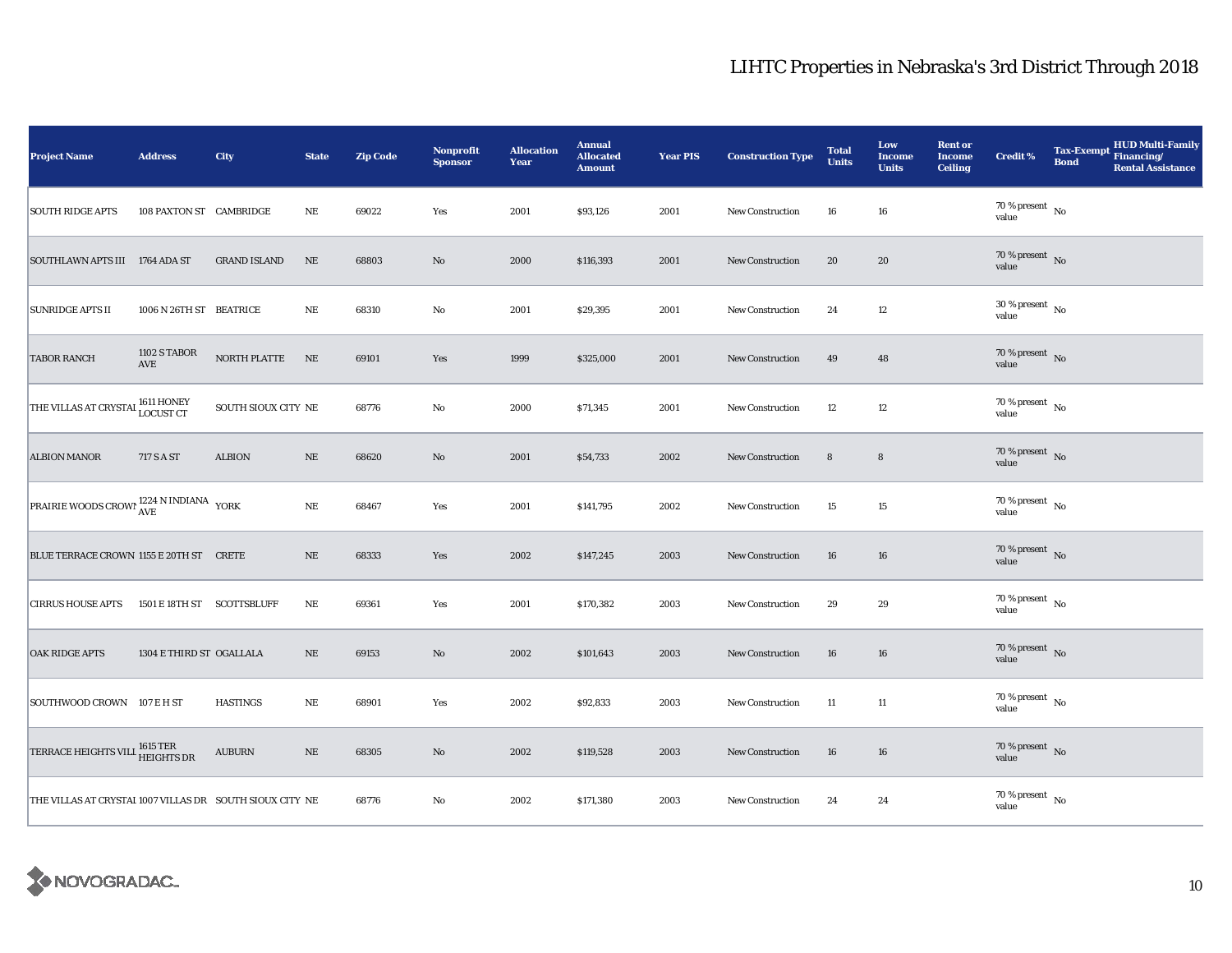| <b>Project Name</b>                                      | <b>Address</b>             | City                | <b>State</b> | <b>Zip Code</b> | <b>Nonprofit</b><br><b>Sponsor</b> | <b>Allocation</b><br>Year | <b>Annual</b><br><b>Allocated</b><br><b>Amount</b> | <b>Year PIS</b> | <b>Construction Type</b> | <b>Total</b><br><b>Units</b> | Low<br><b>Income</b><br><b>Units</b> | <b>Rent or</b><br><b>Income</b><br><b>Ceiling</b> | <b>Credit %</b>                      | <b>Bond</b> | HUD Multi-Family<br>Tax-Exempt Financing/<br><b>Rental Assistance</b> |
|----------------------------------------------------------|----------------------------|---------------------|--------------|-----------------|------------------------------------|---------------------------|----------------------------------------------------|-----------------|--------------------------|------------------------------|--------------------------------------|---------------------------------------------------|--------------------------------------|-------------|-----------------------------------------------------------------------|
| <b>SOUTH RIDGE APTS</b>                                  | 108 PAXTON ST CAMBRIDGE    |                     | NE           | 69022           | Yes                                | 2001                      | \$93,126                                           | 2001            | New Construction         | 16                           | 16                                   |                                                   | 70 % present $\hbox{~No}$<br>value   |             |                                                                       |
| SOUTHLAWN APTS III 1764 ADA ST                           |                            | <b>GRAND ISLAND</b> | $_{\rm NE}$  | 68803           | No                                 | 2000                      | \$116,393                                          | 2001            | <b>New Construction</b>  | 20                           | 20                                   |                                                   | $70\,\%$ present $\,$ No value       |             |                                                                       |
| <b>SUNRIDGE APTS II</b>                                  | 1006 N 26TH ST BEATRICE    |                     | $_{\rm NE}$  | 68310           | $\mathbf {No}$                     | 2001                      | \$29,395                                           | 2001            | <b>New Construction</b>  | 24                           | 12                                   |                                                   | $30$ % present $\,$ No $\,$<br>value |             |                                                                       |
| <b>TABOR RANCH</b>                                       | 1102 S TABOR<br>AVE        | NORTH PLATTE        | NE           | 69101           | Yes                                | 1999                      | \$325,000                                          | 2001            | New Construction         | 49                           | 48                                   |                                                   | $70\,\%$ present $\,$ No value       |             |                                                                       |
| THE VILLAS AT CRYSTAI <sup>1611</sup> HONEY              |                            | SOUTH SIOUX CITY NE |              | 68776           | No                                 | 2000                      | \$71,345                                           | 2001            | <b>New Construction</b>  | 12                           | 12                                   |                                                   | $70\,\%$ present $\,$ No value       |             |                                                                       |
| <b>ALBION MANOR</b>                                      | 717 S A ST                 | <b>ALBION</b>       | $\rm NE$     | 68620           | $\rm No$                           | 2001                      | \$54,733                                           | 2002            | New Construction         | $\bf8$                       | $\bf8$                               |                                                   | 70 % present $\overline{N}$<br>value |             |                                                                       |
| PRAIRIE WOODS CROWI 1224 N INDIANA YORK                  |                            |                     | NE           | 68467           | Yes                                | 2001                      | \$141,795                                          | 2002            | New Construction         | 15                           | 15                                   |                                                   | 70 % present $\hbox{~No}$<br>value   |             |                                                                       |
| BLUE TERRACE CROWN 1155 E 20TH ST CRETE                  |                            |                     | $\rm NE$     | 68333           | Yes                                | 2002                      | \$147,245                                          | 2003            | <b>New Construction</b>  | 16                           | 16                                   |                                                   | $70\,\%$ present $\,$ No value       |             |                                                                       |
| <b>CIRRUS HOUSE APTS</b>                                 | 1501 E 18TH ST SCOTTSBLUFF |                     | $\rm NE$     | 69361           | Yes                                | 2001                      | \$170,382                                          | 2003            | <b>New Construction</b>  | 29                           | 29                                   |                                                   | $70$ % present $\,$ No $\,$<br>value |             |                                                                       |
| <b>OAK RIDGE APTS</b>                                    | 1304 E THIRD ST OGALLALA   |                     | $\rm NE$     | 69153           | No                                 | 2002                      | \$101,643                                          | 2003            | <b>New Construction</b>  | 16                           | 16                                   |                                                   | $70\,\%$ present $\,$ No value       |             |                                                                       |
| SOUTHWOOD CROWN 107 E H ST                               |                            | <b>HASTINGS</b>     | $_{\rm NE}$  | 68901           | Yes                                | 2002                      | \$92,833                                           | 2003            | <b>New Construction</b>  | 11                           | 11                                   |                                                   | $70\,\%$ present $\,$ No value       |             |                                                                       |
| TERRACE HEIGHTS VILL 1615 TER<br>HEIGHTS DR              |                            | <b>AUBURN</b>       | $\rm NE$     | 68305           | $\rm No$                           | 2002                      | \$119,528                                          | 2003            | <b>New Construction</b>  | 16                           | 16                                   |                                                   | $70\,\%$ present $\,$ No value       |             |                                                                       |
| THE VILLAS AT CRYSTAI 1007 VILLAS DR SOUTH SIOUX CITY NE |                            |                     |              | 68776           | No                                 | 2002                      | \$171,380                                          | 2003            | New Construction         | 24                           | 24                                   |                                                   | $70$ % present $\,$ No $\,$<br>value |             |                                                                       |

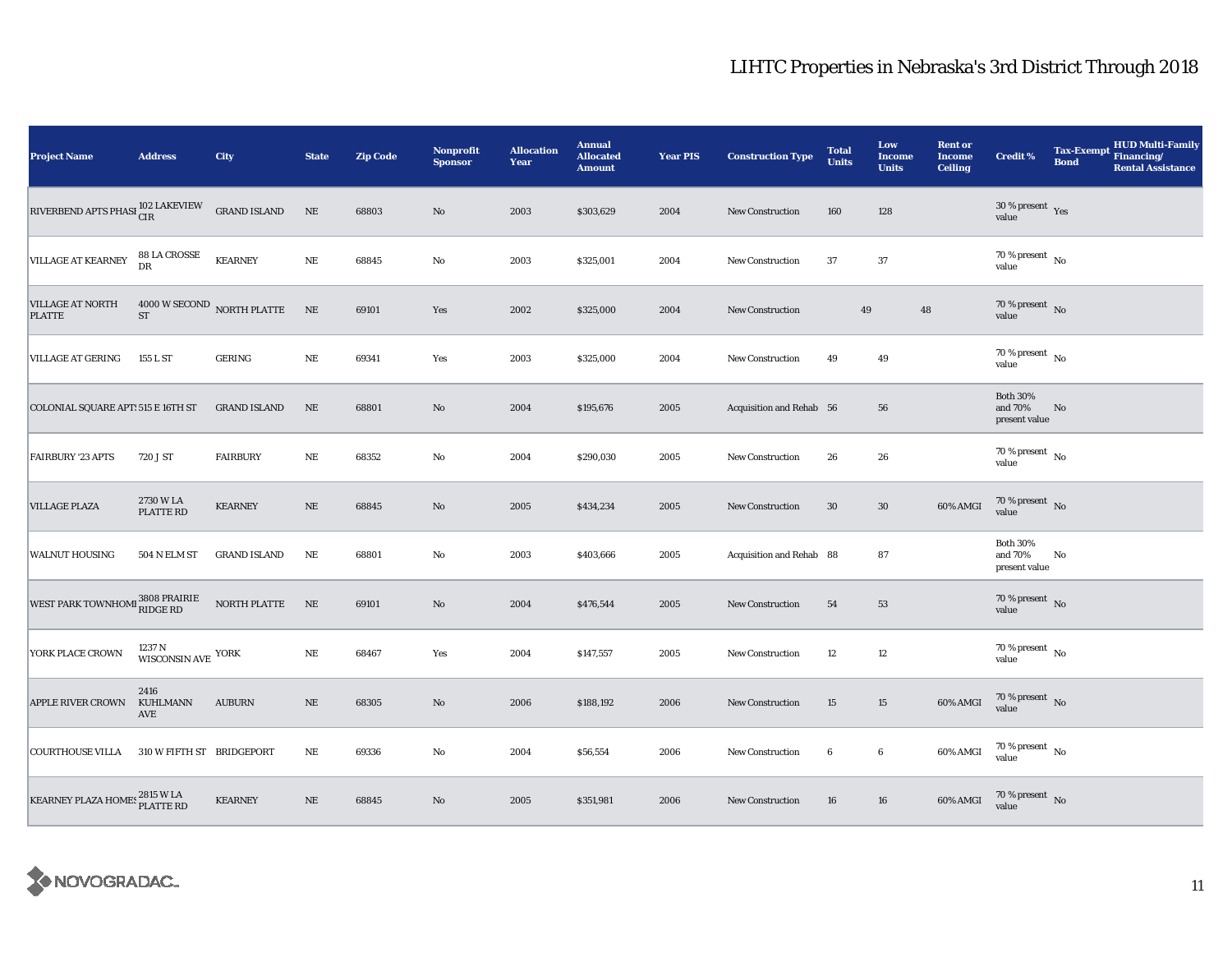| <b>Project Name</b>                          | <b>Address</b>                           | <b>City</b>                | <b>State</b>  | <b>Zip Code</b> | <b>Nonprofit</b><br><b>Sponsor</b> | <b>Allocation</b><br>Year | <b>Annual</b><br><b>Allocated</b><br><b>Amount</b> | <b>Year PIS</b> | <b>Construction Type</b> | <b>Total</b><br><b>Units</b> | Low<br><b>Income</b><br><b>Units</b> | <b>Rent or</b><br><b>Income</b><br><b>Ceiling</b> | <b>Credit %</b>                             | <b>Tax-Exempt</b><br><b>Bond</b> | <b>HUD Multi-Family</b><br>Financing/<br><b>Rental Assistance</b> |
|----------------------------------------------|------------------------------------------|----------------------------|---------------|-----------------|------------------------------------|---------------------------|----------------------------------------------------|-----------------|--------------------------|------------------------------|--------------------------------------|---------------------------------------------------|---------------------------------------------|----------------------------------|-------------------------------------------------------------------|
| RIVERBEND APTS PHASI <sup>102</sup> LAKEVIEW |                                          | <b>GRAND ISLAND</b>        | $\rm NE$      | 68803           | No                                 | 2003                      | \$303,629                                          | 2004            | <b>New Construction</b>  | 160                          | 128                                  |                                                   | $30$ % present $\,$ $\rm Yes$<br>value      |                                  |                                                                   |
| <b>VILLAGE AT KEARNEY</b>                    | 88 LA CROSSE<br>DR                       | <b>KEARNEY</b>             | $\rm NE$      | 68845           | $\mathbf{No}$                      | 2003                      | \$325,001                                          | 2004            | New Construction         | 37                           | 37                                   |                                                   | $70$ % present $\,$ No $\,$<br>value        |                                  |                                                                   |
| <b>VILLAGE AT NORTH</b><br><b>PLATTE</b>     | ${\rm ST}$                               | 4000 W SECOND NORTH PLATTE | $\mathbf{NE}$ | 69101           | Yes                                | 2002                      | \$325,000                                          | 2004            | <b>New Construction</b>  | 49                           |                                      | 48                                                | $70\,\%$ present $\,$ No value              |                                  |                                                                   |
| <b>VILLAGE AT GERING</b>                     | 155 L ST                                 | GERING                     | $\rm NE$      | 69341           | Yes                                | 2003                      | \$325,000                                          | 2004            | New Construction         | 49                           | 49                                   |                                                   | $70$ % present $\,$ No $\,$<br>value        |                                  |                                                                   |
| COLONIAL SQUARE APT: 515 E 16TH ST           |                                          | <b>GRAND ISLAND</b>        | $\rm NE$      | 68801           | $\rm No$                           | 2004                      | \$195,676                                          | 2005            | Acquisition and Rehab 56 |                              | 56                                   |                                                   | <b>Both 30%</b><br>and 70%<br>present value | No                               |                                                                   |
| <b>FAIRBURY '23 APTS</b>                     | 720 J ST                                 | <b>FAIRBURY</b>            | $\rm NE$      | 68352           | $\rm No$                           | 2004                      | \$290,030                                          | 2005            | New Construction         | 26                           | 26                                   |                                                   | $70$ % present $\,$ No $\,$<br>value        |                                  |                                                                   |
| <b>VILLAGE PLAZA</b>                         | 2730 W LA<br>PLATTE RD                   | <b>KEARNEY</b>             | $\rm NE$      | 68845           | $\mathbf{No}$                      | 2005                      | \$434,234                                          | 2005            | New Construction         | 30                           | 30                                   | 60% AMGI                                          | $70\,\%$ present $\,$ No value              |                                  |                                                                   |
| <b>WALNUT HOUSING</b>                        | 504 N ELM ST                             | <b>GRAND ISLAND</b>        | NE            | 68801           | $\rm No$                           | 2003                      | \$403,666                                          | 2005            | Acquisition and Rehab 88 |                              | 87                                   |                                                   | <b>Both 30%</b><br>and 70%<br>present value | No                               |                                                                   |
| WEST PARK TOWNHOMI 3808 PRAIRIE              |                                          | $\rm{NORTH}$ PLATTE        | NE            | 69101           | No                                 | 2004                      | \$476,544                                          | 2005            | New Construction         | 54                           | 53                                   |                                                   | 70 % present $\bar{N}$ o<br>value           |                                  |                                                                   |
| YORK PLACE CROWN                             | 1237 N<br>WISCONSIN AVE $^{\mbox{YORK}}$ |                            | $\rm NE$      | 68467           | Yes                                | 2004                      | \$147,557                                          | 2005            | <b>New Construction</b>  | 12                           | 12                                   |                                                   | $70$ % present $\,$ No $\,$<br>value        |                                  |                                                                   |
| <b>APPLE RIVER CROWN</b>                     | 2416<br>KUHLMANN<br>AVE                  | <b>AUBURN</b>              | $\rm NE$      | 68305           | No                                 | 2006                      | \$188,192                                          | 2006            | New Construction         | 15                           | 15                                   | 60% AMGI                                          | $70\%$ present No<br>value                  |                                  |                                                                   |
| <b>COURTHOUSE VILLA</b>                      | 310 W FIFTH ST BRIDGEPORT                |                            | $\rm NE$      | 69336           | No                                 | 2004                      | \$56,554                                           | 2006            | New Construction         | 6                            | 6                                    | 60% AMGI                                          | $70\,\%$ present $\,$ No value              |                                  |                                                                   |
| KEARNEY PLAZA HOMES 2815 W LA                |                                          | <b>KEARNEY</b>             | $\rm NE$      | 68845           | No                                 | 2005                      | \$351,981                                          | 2006            | <b>New Construction</b>  | 16                           | 16                                   | 60% AMGI                                          | $70\,\%$ present $\,$ No value              |                                  |                                                                   |

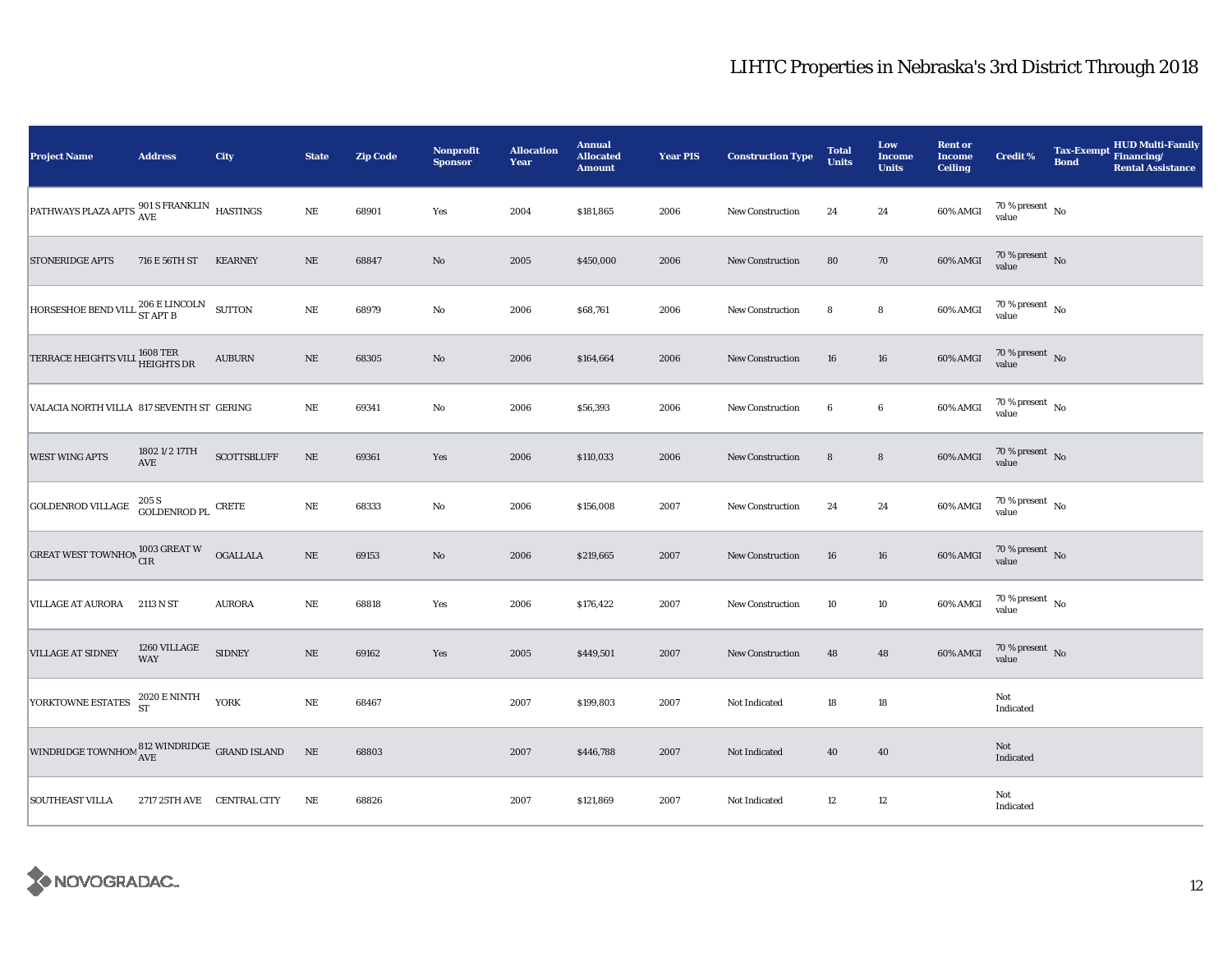| <b>Project Name</b>                                                              | <b>Address</b>                          | <b>City</b>        | <b>State</b> | <b>Zip Code</b> | Nonprofit<br><b>Sponsor</b> | <b>Allocation</b><br>Year | <b>Annual</b><br><b>Allocated</b><br><b>Amount</b> | <b>Year PIS</b> | <b>Construction Type</b> | <b>Total</b><br><b>Units</b> | Low<br><b>Income</b><br><b>Units</b> | <b>Rent or</b><br><b>Income</b><br><b>Ceiling</b> | <b>Credit %</b>                | <b>Tax-Exempt</b><br><b>Bond</b> | <b>HUD Multi-Family</b><br>Financing/<br><b>Rental Assistance</b> |
|----------------------------------------------------------------------------------|-----------------------------------------|--------------------|--------------|-----------------|-----------------------------|---------------------------|----------------------------------------------------|-----------------|--------------------------|------------------------------|--------------------------------------|---------------------------------------------------|--------------------------------|----------------------------------|-------------------------------------------------------------------|
| PATHWAYS PLAZA APTS $^{901}_{\text{AVE}}$ S FRANKLIN HASTINGS                    |                                         |                    | $\rm{NE}$    | 68901           | Yes                         | 2004                      | \$181,865                                          | 2006            | New Construction         | 24                           | 24                                   | 60% AMGI                                          | $70\,\%$ present $\,$ No value |                                  |                                                                   |
| <b>STONERIDGE APTS</b>                                                           | 716 E 56TH ST                           | <b>KEARNEY</b>     | $\rm NE$     | 68847           | No                          | 2005                      | \$450,000                                          | 2006            | <b>New Construction</b>  | 80                           | 70                                   | 60% AMGI                                          | $70\,\%$ present $\,$ No value |                                  |                                                                   |
| HORSESHOE BEND VILL ${}^{206}_{ST \text{ APT B}}$ SUTTON                         |                                         |                    | $\rm NE$     | 68979           | No                          | 2006                      | \$68,761                                           | 2006            | New Construction         | 8                            | 8                                    | 60% AMGI                                          | $70\,\%$ present $\,$ No value |                                  |                                                                   |
| TERRACE HEIGHTS VILL 1608 TER                                                    |                                         | <b>AUBURN</b>      | $\rm NE$     | 68305           | $\rm No$                    | 2006                      | \$164,664                                          | 2006            | New Construction         | 16                           | 16                                   | 60% AMGI                                          | $70\,\%$ present $\,$ No value |                                  |                                                                   |
| VALACIA NORTH VILLA 817 SEVENTH ST GERING                                        |                                         |                    | $\rm NE$     | 69341           | $\mathbf {No}$              | 2006                      | \$56,393                                           | 2006            | <b>New Construction</b>  | $\boldsymbol{6}$             | $\boldsymbol{6}$                     | 60% AMGI                                          | $70\,\%$ present $\,$ No value |                                  |                                                                   |
| <b>WEST WING APTS</b>                                                            | 1802 1/2 17TH<br>$\operatorname{AVE}$   | <b>SCOTTSBLUFF</b> | $\rm NE$     | 69361           | Yes                         | 2006                      | \$110,033                                          | 2006            | New Construction         | $\bf8$                       | $\bf8$                               | $60\%$ AMGI                                       | $70\,\%$ present $\,$ No value |                                  |                                                                   |
| <b>GOLDENROD VILLAGE</b>                                                         | $205$ S $$\,{\rm GOLDENROD\,PL}$$ CRETE |                    | $\rm NE$     | 68333           | $\rm No$                    | 2006                      | \$156,008                                          | 2007            | New Construction         | 24                           | 24                                   | 60% AMGI                                          | $70\,\%$ present $\,$ No value |                                  |                                                                   |
| GREAT WEST TOWNHON $_{\hbox{\small CIR}}^{1003\hbox{\small GREAT W}}$            |                                         | <b>OGALLALA</b>    | $\rm NE$     | 69153           | $\rm No$                    | 2006                      | \$219,665                                          | 2007            | New Construction         | 16                           | 16                                   | 60% AMGI                                          | $70\,\%$ present $\,$ No value |                                  |                                                                   |
| VILLAGE AT AURORA 2113 N ST                                                      |                                         | <b>AURORA</b>      | $\rm NE$     | 68818           | Yes                         | 2006                      | \$176,422                                          | 2007            | <b>New Construction</b>  | 10                           | 10                                   | 60% AMGI                                          | $70\,\%$ present $\,$ No value |                                  |                                                                   |
| <b>VILLAGE AT SIDNEY</b>                                                         | 1260 VILLAGE<br><b>WAY</b>              | <b>SIDNEY</b>      | $\rm NE$     | 69162           | Yes                         | 2005                      | \$449,501                                          | 2007            | <b>New Construction</b>  | 48                           | 48                                   | 60% AMGI                                          | $70\,\%$ present $\,$ No value |                                  |                                                                   |
| YORKTOWNE ESTATES                                                                | 2020 E NINTH<br>ST                      | <b>YORK</b>        | $\rm NE$     | 68467           |                             | 2007                      | \$199,803                                          | 2007            | Not Indicated            | 18                           | $18\,$                               |                                                   | Not<br>Indicated               |                                  |                                                                   |
| WINDRIDGE TOWNHOM $_{\mbox{AVE}}^{\mbox{812} }$ WINDRIDGE $\mbox{ GRAND}$ ISLAND |                                         |                    | $\rm NE$     | 68803           |                             | 2007                      | \$446,788                                          | 2007            | Not Indicated            | 40                           | 40                                   |                                                   | Not<br>Indicated               |                                  |                                                                   |
| <b>SOUTHEAST VILLA</b>                                                           | 2717 25TH AVE CENTRAL CITY              |                    | NE           | 68826           |                             | 2007                      | \$121,869                                          | 2007            | Not Indicated            | 12                           | 12                                   |                                                   | Not<br>Indicated               |                                  |                                                                   |

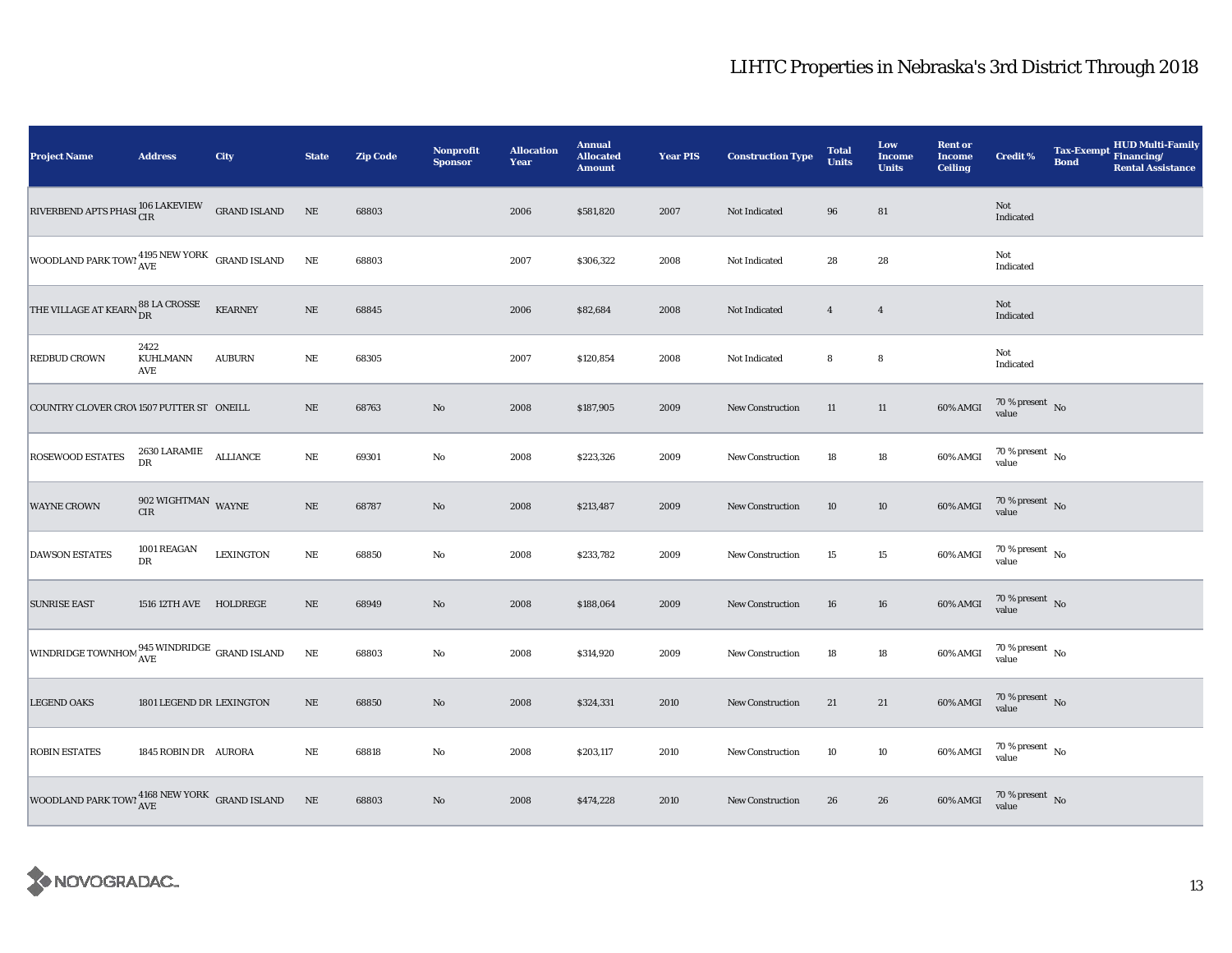| <b>Project Name</b>                                                                                                                                                                           | <b>Address</b>                     | City             | <b>State</b> | <b>Zip Code</b> | Nonprofit<br><b>Sponsor</b> | <b>Allocation</b><br>Year | <b>Annual</b><br><b>Allocated</b><br><b>Amount</b> | <b>Year PIS</b> | <b>Construction Type</b> | <b>Total</b><br><b>Units</b> | Low<br><b>Income</b><br><b>Units</b> | <b>Rent or</b><br><b>Income</b><br><b>Ceiling</b> | <b>Credit %</b>                | <b>Tax-Exempt</b><br><b>Bond</b> | HUD Multi-Family<br>Financing/<br><b>Rental Assistance</b> |
|-----------------------------------------------------------------------------------------------------------------------------------------------------------------------------------------------|------------------------------------|------------------|--------------|-----------------|-----------------------------|---------------------------|----------------------------------------------------|-----------------|--------------------------|------------------------------|--------------------------------------|---------------------------------------------------|--------------------------------|----------------------------------|------------------------------------------------------------|
| $\begin{minipage}{0.9\linewidth} \textbf{RIVERBEND} \textbf{APTS PHASI} \begin{tabular}{@{}l@{}} \textbf{06} \textbf{LAKEVIEW} & \textbf{GRAND} \textbf{ISLAND} \end{tabular} \end{minipage}$ |                                    |                  | NE           | 68803           |                             | 2006                      | \$581,820                                          | 2007            | Not Indicated            | 96                           | 81                                   |                                                   | Not<br>Indicated               |                                  |                                                            |
| $\begin{array}{ l } \hline \textbf{WOODLAND PARK TOW!}\xspace{4195} \textbf{NEW YORK} & \textbf{GRAND ISLAND} \end{array}$                                                                    |                                    |                  | $\rm NE$     | 68803           |                             | 2007                      | \$306,322                                          | 2008            | Not Indicated            | 28                           | $\bf 28$                             |                                                   | Not<br>Indicated               |                                  |                                                            |
| THE VILLAGE AT KEARN $_{\text{DR}}^{88\text{ LA CROSSE}}$                                                                                                                                     |                                    | <b>KEARNEY</b>   | $\rm NE$     | 68845           |                             | 2006                      | \$82,684                                           | 2008            | Not Indicated            | $\overline{4}$               | $\overline{4}$                       |                                                   | Not<br>Indicated               |                                  |                                                            |
| <b>REDBUD CROWN</b>                                                                                                                                                                           | 2422<br>KUHLMANN<br>AVE            | <b>AUBURN</b>    | $\rm NE$     | 68305           |                             | 2007                      | \$120,854                                          | 2008            | Not Indicated            | 8                            | 8                                    |                                                   | Not<br>Indicated               |                                  |                                                            |
| COUNTRY CLOVER CROV1507 PUTTER ST ONEILL                                                                                                                                                      |                                    |                  | $\rm NE$     | 68763           | No                          | 2008                      | \$187,905                                          | 2009            | <b>New Construction</b>  | 11                           | $11\,$                               | 60% AMGI                                          | $70\,\%$ present $\,$ No value |                                  |                                                            |
| <b>ROSEWOOD ESTATES</b>                                                                                                                                                                       | $2630$ LARAMIE $\quad$ ALLIANCE DR |                  | $\rm NE$     | 69301           | $\mathbf {No}$              | 2008                      | \$223,326                                          | 2009            | New Construction         | 18                           | $18\,$                               | 60% AMGI                                          | $70\,\%$ present $\,$ No value |                                  |                                                            |
| <b>WAYNE CROWN</b>                                                                                                                                                                            | $902$ WIGHTMAN $\,$ WAYNE CIR $\,$ |                  | $\rm NE$     | 68787           | No                          | 2008                      | \$213,487                                          | 2009            | <b>New Construction</b>  | 10                           | $10\,$                               | 60% AMGI                                          | $70\,\%$ present $\,$ No value |                                  |                                                            |
| <b>DAWSON ESTATES</b>                                                                                                                                                                         | 1001 REAGAN<br>DR                  | <b>LEXINGTON</b> | $\rm NE$     | 68850           | $\rm No$                    | 2008                      | \$233,782                                          | 2009            | <b>New Construction</b>  | 15                           | $15\,$                               | 60% AMGI                                          | $70\,\%$ present $\,$ No value |                                  |                                                            |
| <b>SUNRISE EAST</b>                                                                                                                                                                           | 1516 12TH AVE HOLDREGE             |                  | $\rm NE$     | 68949           | No                          | 2008                      | \$188,064                                          | 2009            | New Construction         | 16                           | 16                                   | $60\%$ AMGI                                       | $70\,\%$ present $\,$ No value |                                  |                                                            |
| WINDRIDGE TOWNHOM $_{\mbox{AVE}}^{945}$ WINDRIDGE GRAND ISLAND                                                                                                                                |                                    |                  | $\rm NE$     | 68803           | $\rm No$                    | 2008                      | \$314,920                                          | 2009            | New Construction         | 18                           | $18\,$                               | 60% AMGI                                          | $70\,\%$ present $\,$ No value |                                  |                                                            |
| <b>LEGEND OAKS</b>                                                                                                                                                                            | 1801 LEGEND DR LEXINGTON           |                  | $\rm{NE}$    | 68850           | No                          | 2008                      | \$324,331                                          | 2010            | <b>New Construction</b>  | 21                           | 21                                   | 60% AMGI                                          | $70\,\%$ present $\,$ No value |                                  |                                                            |
| <b>ROBIN ESTATES</b>                                                                                                                                                                          | 1845 ROBIN DR AURORA               |                  | $\rm NE$     | 68818           | No                          | 2008                      | \$203,117                                          | 2010            | New Construction         | 10                           | $10\,$                               | 60% AMGI                                          | $70\,\%$ present $\,$ No value |                                  |                                                            |
| WOODLAND PARK TOWI $_{\rm AVE}^{4168\text{ NEW YORK}}$ GRAND ISLAND                                                                                                                           |                                    |                  | $\,$ NE      | 68803           | No                          | 2008                      | \$474,228                                          | 2010            | <b>New Construction</b>  | 26                           | 26                                   | 60% AMGI                                          | $70\,\%$ present $\;$ No value |                                  |                                                            |

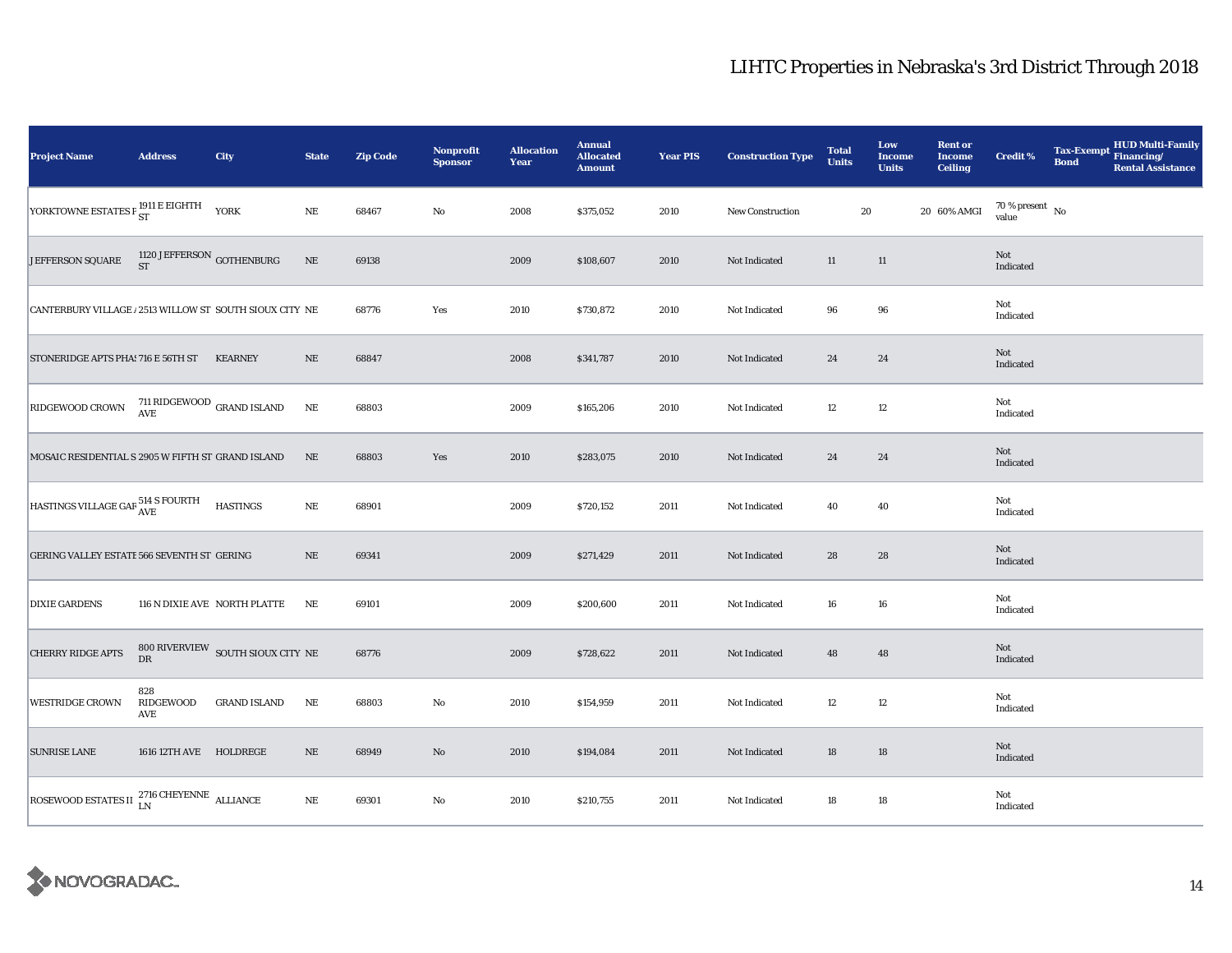| <b>Project Name</b>                                             | <b>Address</b>               | City                                                  | <b>State</b> | <b>Zip Code</b> | <b>Nonprofit</b><br><b>Sponsor</b> | <b>Allocation</b><br>Year | <b>Annual</b><br><b>Allocated</b><br><b>Amount</b> | <b>Year PIS</b> | <b>Construction Type</b> | <b>Total</b><br><b>Units</b> | Low<br><b>Income</b><br><b>Units</b> | <b>Rent or</b><br><b>Income</b><br><b>Ceiling</b> | <b>Credit %</b>                | <b>Bond</b> | HUD Multi-Family<br>Tax-Exempt Financing/<br><b>Rental Assistance</b> |
|-----------------------------------------------------------------|------------------------------|-------------------------------------------------------|--------------|-----------------|------------------------------------|---------------------------|----------------------------------------------------|-----------------|--------------------------|------------------------------|--------------------------------------|---------------------------------------------------|--------------------------------|-------------|-----------------------------------------------------------------------|
| YORKTOWNE ESTATES P ST E EIGHTH YORK                            |                              |                                                       | $\rm NE$     | 68467           | $\rm No$                           | 2008                      | \$375,052                                          | 2010            | New Construction         | ${\bf 20}$                   |                                      | 20 60% AMGI                                       | $70\,\%$ present $\,$ No value |             |                                                                       |
| JEFFERSON SQUARE                                                | 1120 JEFFERSON GOTHENBURG ST |                                                       | $\rm NE$     | 69138           |                                    | 2009                      | \$108,607                                          | 2010            | Not Indicated            | 11                           | $11\,$                               |                                                   | Not<br>Indicated               |             |                                                                       |
| CANTERBURY VILLAGE / 2513 WILLOW ST SOUTH SIOUX CITY NE         |                              |                                                       |              | 68776           | Yes                                | 2010                      | \$730,872                                          | 2010            | Not Indicated            | 96                           | ${\bf 96}$                           |                                                   | Not<br>Indicated               |             |                                                                       |
| STONERIDGE APTS PHA! 716 E 56TH ST KEARNEY                      |                              |                                                       | $\rm NE$     | 68847           |                                    | 2008                      | \$341,787                                          | 2010            | Not Indicated            | 24                           | 24                                   |                                                   | Not<br>Indicated               |             |                                                                       |
| RIDGEWOOD CROWN                                                 |                              | $711$ RIDGEWOOD $\,$ GRAND ISLAND $\,$ AVE            | $\rm NE$     | 68803           |                                    | 2009                      | \$165,206                                          | 2010            | Not Indicated            | 12                           | 12                                   |                                                   | Not<br>Indicated               |             |                                                                       |
| MOSAIC RESIDENTIAL S 2905 W FIFTH ST GRAND ISLAND               |                              |                                                       | $\rm NE$     | 68803           | Yes                                | 2010                      | \$283,075                                          | 2010            | Not Indicated            | 24                           | 24                                   |                                                   | Not<br>Indicated               |             |                                                                       |
| HASTINGS VILLAGE GAR 514 S FOURTH HASTINGS                      |                              |                                                       | $\rm NE$     | 68901           |                                    | 2009                      | \$720,152                                          | 2011            | Not Indicated            | 40                           | 40                                   |                                                   | Not<br>Indicated               |             |                                                                       |
| GERING VALLEY ESTATE 566 SEVENTH ST GERING                      |                              |                                                       | $\rm NE$     | 69341           |                                    | 2009                      | \$271,429                                          | 2011            | Not Indicated            | 28                           | 28                                   |                                                   | Not<br>Indicated               |             |                                                                       |
| <b>DIXIE GARDENS</b>                                            |                              | 116 N DIXIE AVE NORTH PLATTE                          | NE           | 69101           |                                    | 2009                      | \$200,600                                          | 2011            | Not Indicated            | 16                           | 16                                   |                                                   | Not<br>Indicated               |             |                                                                       |
| <b>CHERRY RIDGE APTS</b>                                        |                              | $800$ RIVERVIEW $\,$ SOUTH SIOUX CITY $\,$ NE $\,$ DR |              | 68776           |                                    | 2009                      | \$728,622                                          | 2011            | Not Indicated            | 48                           | 48                                   |                                                   | Not<br>Indicated               |             |                                                                       |
| <b>WESTRIDGE CROWN</b>                                          | 828<br>RIDGEWOOD<br>AVE      | <b>GRAND ISLAND</b>                                   | NE           | 68803           | No                                 | 2010                      | \$154,959                                          | 2011            | Not Indicated            | 12                           | $12\,$                               |                                                   | Not<br>Indicated               |             |                                                                       |
| <b>SUNRISE LANE</b>                                             | 1616 12TH AVE HOLDREGE       |                                                       | $\rm NE$     | 68949           | $\rm\thinspace No$                 | 2010                      | \$194,084                                          | 2011            | Not Indicated            | 18                           | 18                                   |                                                   | Not<br>Indicated               |             |                                                                       |
| ROSEWOOD ESTATES II $_{\rm LN}^{2716 \, \rm CHEYENNE}$ ALLIANCE |                              |                                                       | $\rm NE$     | 69301           | $\rm\thinspace No$                 | 2010                      | \$210,755                                          | 2011            | Not Indicated            | 18                           | 18                                   |                                                   | Not<br>Indicated               |             |                                                                       |

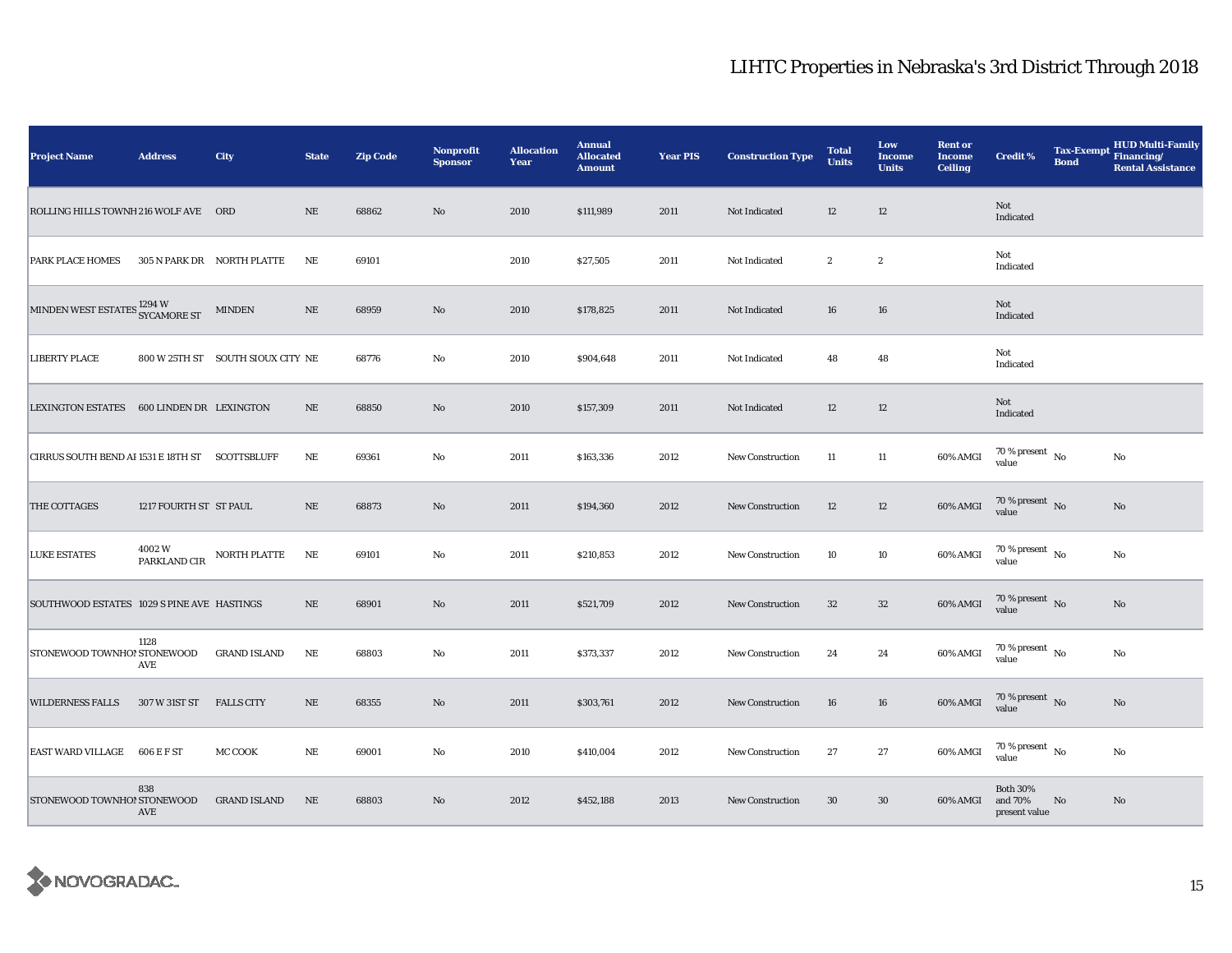| <b>Project Name</b>                                  | <b>Address</b>          | City                              | <b>State</b> | <b>Zip Code</b> | Nonprofit<br><b>Sponsor</b> | <b>Allocation</b><br>Year | <b>Annual</b><br><b>Allocated</b><br><b>Amount</b> | <b>Year PIS</b> | <b>Construction Type</b> | <b>Total</b><br><b>Units</b> | Low<br><b>Income</b><br><b>Units</b> | <b>Rent or</b><br><b>Income</b><br><b>Ceiling</b> | <b>Credit %</b>                             | <b>Tax-Exempt</b><br><b>Bond</b> | <b>HUD Multi-Family</b><br>Financing/<br><b>Rental Assistance</b> |
|------------------------------------------------------|-------------------------|-----------------------------------|--------------|-----------------|-----------------------------|---------------------------|----------------------------------------------------|-----------------|--------------------------|------------------------------|--------------------------------------|---------------------------------------------------|---------------------------------------------|----------------------------------|-------------------------------------------------------------------|
| ROLLING HILLS TOWNH 216 WOLF AVE ORD                 |                         |                                   | $\rm NE$     | 68862           | $\rm No$                    | 2010                      | \$111,989                                          | 2011            | Not Indicated            | 12                           | 12                                   |                                                   | Not<br>Indicated                            |                                  |                                                                   |
| <b>PARK PLACE HOMES</b>                              |                         | 305 N PARK DR NORTH PLATTE        | NE           | 69101           |                             | 2010                      | \$27,505                                           | 2011            | Not Indicated            | $\boldsymbol{2}$             | $\boldsymbol{2}$                     |                                                   | Not<br>Indicated                            |                                  |                                                                   |
| MINDEN WEST ESTATES <sup>1294</sup> W<br>SYCAMORE ST |                         | $\textsf{MINDEN}\xspace$          | $\rm NE$     | 68959           | No                          | 2010                      | \$178,825                                          | 2011            | Not Indicated            | 16                           | 16                                   |                                                   | Not<br>Indicated                            |                                  |                                                                   |
| <b>LIBERTY PLACE</b>                                 |                         | 800 W 25TH ST SOUTH SIOUX CITY NE |              | 68776           | $\mathbf{No}$               | 2010                      | \$904,648                                          | 2011            | Not Indicated            | 48                           | 48                                   |                                                   | Not<br>Indicated                            |                                  |                                                                   |
| <b>LEXINGTON ESTATES</b>                             | 600 LINDEN DR LEXINGTON |                                   | NE           | 68850           | No                          | 2010                      | \$157,309                                          | 2011            | Not Indicated            | 12                           | 12                                   |                                                   | Not<br>Indicated                            |                                  |                                                                   |
| CIRRUS SOUTH BEND AI 1531 E 18TH ST SCOTTSBLUFF      |                         |                                   | NE           | 69361           | $\rm No$                    | 2011                      | \$163,336                                          | 2012            | New Construction         | 11                           | 11                                   | 60% AMGI                                          | $70$ % present $\,$ No $\,$<br>value        |                                  | No                                                                |
| THE COTTAGES                                         | 1217 FOURTH ST ST PAUL  |                                   | $\rm NE$     | 68873           | $\rm No$                    | 2011                      | \$194,360                                          | 2012            | New Construction         | 12                           | 12                                   | 60% AMGI                                          | $70\,\%$ present $\,$ No value              |                                  | No                                                                |
| <b>LUKE ESTATES</b>                                  | 4002W<br>PARKLAND CIR   | NORTH PLATTE                      | NE           | 69101           | No                          | 2011                      | \$210,853                                          | 2012            | New Construction         | 10                           | $10\,$                               | 60% AMGI                                          | 70 % present $\,$ No $\,$<br>value          |                                  | No                                                                |
| SOUTHWOOD ESTATES 1029 S PINE AVE HASTINGS           |                         |                                   | $\rm NE$     | 68901           | No                          | 2011                      | \$521,709                                          | 2012            | New Construction         | 32                           | $32\,$                               | 60% AMGI                                          | $70$ % present $\,$ No value                |                                  | $\mathbf{N}\mathbf{o}$                                            |
| STONEWOOD TOWNHO! STONEWOOD                          | 1128<br>AVE             | <b>GRAND ISLAND</b>               | $_{\rm NE}$  | 68803           | $\rm No$                    | 2011                      | \$373,337                                          | 2012            | <b>New Construction</b>  | 24                           | 24                                   | 60% AMGI                                          | $70\,\%$ present $_{\, \rm No}$<br>value    |                                  | No                                                                |
| <b>WILDERNESS FALLS</b>                              | 307 W 31ST ST           | <b>FALLS CITY</b>                 | NE           | 68355           | $\mathbf{N}\mathbf{o}$      | 2011                      | \$303,761                                          | 2012            | <b>New Construction</b>  | 16                           | 16                                   | 60% AMGI                                          | $70\,\%$ present $\,$ No value              |                                  | No                                                                |
| EAST WARD VILLAGE 606 E F ST                         |                         | MC COOK                           | $\rm NE$     | 69001           | No                          | 2010                      | \$410,004                                          | 2012            | <b>New Construction</b>  | 27                           | 27                                   | 60% AMGI                                          | $70\,\%$ present $\,$ No value              |                                  | No                                                                |
| STONEWOOD TOWNHO! STONEWOOD                          | 838<br>AVE              | <b>GRAND ISLAND</b>               | NE           | 68803           | No                          | 2012                      | \$452,188                                          | 2013            | <b>New Construction</b>  | 30                           | 30                                   | 60% AMGI                                          | <b>Both 30%</b><br>and 70%<br>present value | No                               | No                                                                |

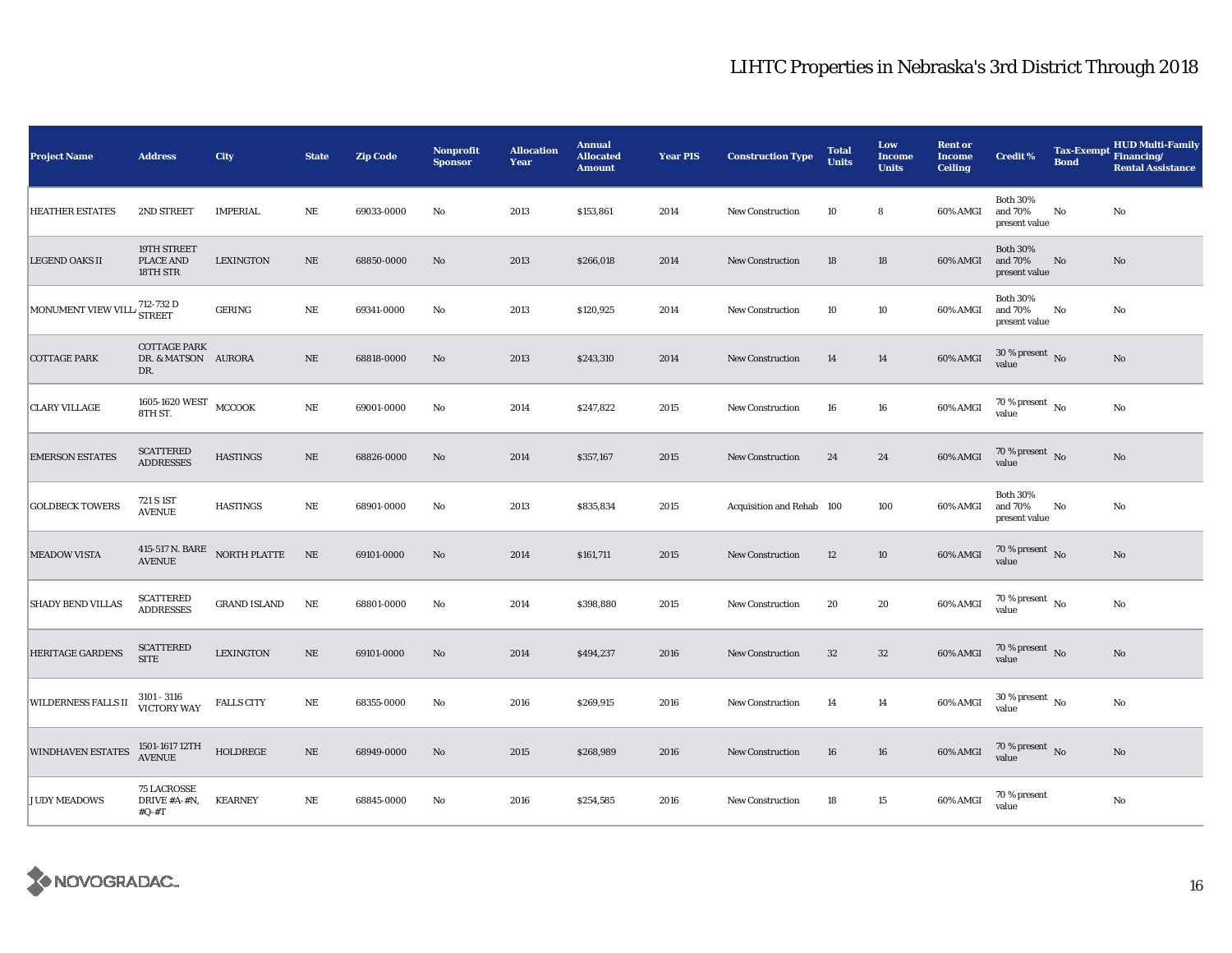| <b>Project Name</b>                     | <b>Address</b>                                    | City                | <b>State</b> | <b>Zip Code</b> | Nonprofit<br><b>Sponsor</b> | <b>Allocation</b><br>Year | <b>Annual</b><br><b>Allocated</b><br><b>Amount</b> | <b>Year PIS</b> | <b>Construction Type</b>  | <b>Total</b><br><b>Units</b> | Low<br><b>Income</b><br><b>Units</b> | <b>Rent or</b><br><b>Income</b><br><b>Ceiling</b> | <b>Credit %</b>                             | <b>Bond</b> | <b>HUD Multi-Family</b><br>Tax-Exempt Financing/<br><b>Rental Assistance</b> |
|-----------------------------------------|---------------------------------------------------|---------------------|--------------|-----------------|-----------------------------|---------------------------|----------------------------------------------------|-----------------|---------------------------|------------------------------|--------------------------------------|---------------------------------------------------|---------------------------------------------|-------------|------------------------------------------------------------------------------|
| <b>HEATHER ESTATES</b>                  | 2ND STREET                                        | <b>IMPERIAL</b>     | $\rm NE$     | 69033-0000      | No                          | 2013                      | \$153,861                                          | 2014            | <b>New Construction</b>   | 10                           | 8                                    | 60% AMGI                                          | <b>Both 30%</b><br>and 70%<br>present value | No          | No                                                                           |
| <b>LEGEND OAKS II</b>                   | 19TH STREET<br>PLACE AND<br>18TH STR              | <b>LEXINGTON</b>    | $\rm NE$     | 68850-0000      | No                          | 2013                      | \$266,018                                          | 2014            | <b>New Construction</b>   | 18                           | 18                                   | 60% AMGI                                          | <b>Both 30%</b><br>and 70%<br>present value | No          | No                                                                           |
| MONUMENT VIEW VILL <sup>712-732</sup> D |                                                   | GERING              | $\rm NE$     | 69341-0000      | No                          | 2013                      | \$120,925                                          | 2014            | <b>New Construction</b>   | 10                           | 10                                   | 60% AMGI                                          | <b>Both 30%</b><br>and 70%<br>present value | No          | No                                                                           |
| <b>COTTAGE PARK</b>                     | <b>COTTAGE PARK</b><br>DR. & MATSON AURORA<br>DR. |                     | NE           | 68818-0000      | No                          | 2013                      | \$243,310                                          | 2014            | New Construction          | 14                           | 14                                   | 60% AMGI                                          | $30$ % present $\,$ No $\,$<br>value        |             | No                                                                           |
| <b>CLARY VILLAGE</b>                    | 1605-1620 WEST<br>8TH ST.                         | MCCOOK              | $\rm NE$     | 69001-0000      | No                          | 2014                      | \$247,822                                          | 2015            | <b>New Construction</b>   | 16                           | 16                                   | 60% AMGI                                          | 70 % present $\hbox{~No}$<br>value          |             | No                                                                           |
| <b>EMERSON ESTATES</b>                  | <b>SCATTERED</b><br><b>ADDRESSES</b>              | <b>HASTINGS</b>     | NE           | 68826-0000      | No                          | 2014                      | \$357,167                                          | 2015            | New Construction          | 24                           | 24                                   | 60% AMGI                                          | 70 % present $\,$ No $\,$<br>value          |             | No                                                                           |
| <b>GOLDBECK TOWERS</b>                  | 721 S 1ST<br><b>AVENUE</b>                        | <b>HASTINGS</b>     | NE           | 68901-0000      | No                          | 2013                      | \$835,834                                          | 2015            | Acquisition and Rehab 100 |                              | 100                                  | 60% AMGI                                          | <b>Both 30%</b><br>and 70%<br>present value | No          | No                                                                           |
| <b>MEADOW VISTA</b>                     | 415-517 N. BARE<br><b>AVENUE</b>                  | $\rm{NORTH}$ PLATTE | NE           | 69101-0000      | No                          | 2014                      | \$161,711                                          | 2015            | New Construction          | 12                           | 10                                   | 60% AMGI                                          | $70\,\%$ present $\,$ No $\,$<br>value      |             | $\mathbf{N}\mathbf{o}$                                                       |
| <b>SHADY BEND VILLAS</b>                | <b>SCATTERED</b><br><b>ADDRESSES</b>              | <b>GRAND ISLAND</b> | $\rm NE$     | 68801-0000      | No                          | 2014                      | \$398,880                                          | 2015            | <b>New Construction</b>   | 20                           | 20                                   | 60% AMGI                                          | 70 % present $\hbox{~No}$<br>value          |             | No                                                                           |
| <b>HERITAGE GARDENS</b>                 | <b>SCATTERED</b><br><b>SITE</b>                   | <b>LEXINGTON</b>    | $\rm NE$     | 69101-0000      | No                          | 2014                      | \$494,237                                          | 2016            | New Construction          | 32                           | $32\,$                               | 60% AMGI                                          | 70 % present $\hbox{~No}$<br>value          |             | $\mathbf{N}\mathbf{o}$                                                       |
| <b>WILDERNESS FALLS II</b>              | 3101 - 3116<br>VICTORY WAY                        | <b>FALLS CITY</b>   | $\rm NE$     | 68355-0000      | No                          | 2016                      | \$269,915                                          | 2016            | New Construction          | 14                           | 14                                   | 60% AMGI                                          | $30\,\%$ present $\,$ No $\,$<br>value      |             | No                                                                           |
| <b>WINDHAVEN ESTATES</b>                | 1501-1617 12TH<br>AVENUE                          | HOLDREGE            | $\rm NE$     | 68949-0000      | No                          | 2015                      | \$268,989                                          | 2016            | <b>New Construction</b>   | 16                           | 16                                   | 60% AMGI                                          | 70 % present $\,$ No $\,$<br>value          |             | No                                                                           |
| <b>JUDY MEADOWS</b>                     | <b>75 LACROSSE</b><br>DRIVE $#A-#N$ ,<br>$#Q-#T$  | <b>KEARNEY</b>      | $\rm NE$     | 68845-0000      | No                          | 2016                      | \$254,585                                          | 2016            | <b>New Construction</b>   | 18                           | 15                                   | 60% AMGI                                          | 70 % present<br>value                       |             | No                                                                           |